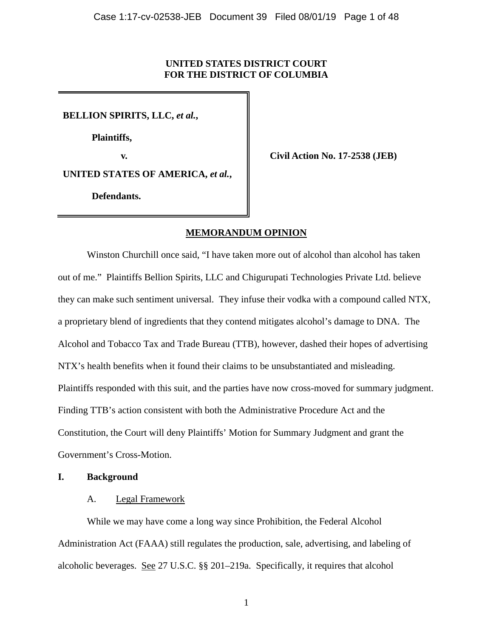### **UNITED STATES DISTRICT COURT FOR THE DISTRICT OF COLUMBIA**

**BELLION SPIRITS, LLC,** *et al.***,**

**Plaintiffs,**

**v. Civil Action No. 17-2538 (JEB)**

**UNITED STATES OF AMERICA,** *et al.***,**

**Defendants.**

### **MEMORANDUM OPINION**

Winston Churchill once said, "I have taken more out of alcohol than alcohol has taken out of me." Plaintiffs Bellion Spirits, LLC and Chigurupati Technologies Private Ltd. believe they can make such sentiment universal. They infuse their vodka with a compound called NTX, a proprietary blend of ingredients that they contend mitigates alcohol's damage to DNA. The Alcohol and Tobacco Tax and Trade Bureau (TTB), however, dashed their hopes of advertising NTX's health benefits when it found their claims to be unsubstantiated and misleading. Plaintiffs responded with this suit, and the parties have now cross-moved for summary judgment. Finding TTB's action consistent with both the Administrative Procedure Act and the Constitution, the Court will deny Plaintiffs' Motion for Summary Judgment and grant the Government's Cross-Motion.

### **I. Background**

### A. Legal Framework

While we may have come a long way since Prohibition, the Federal Alcohol Administration Act (FAAA) still regulates the production, sale, advertising, and labeling of alcoholic beverages. See 27 U.S.C. §§ 201–219a. Specifically, it requires that alcohol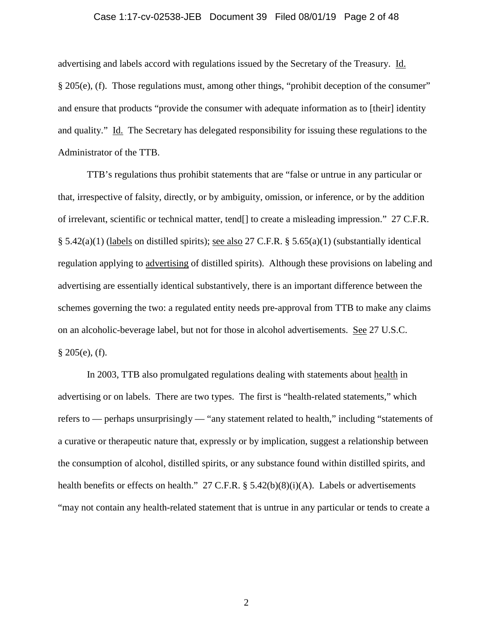#### Case 1:17-cv-02538-JEB Document 39 Filed 08/01/19 Page 2 of 48

advertising and labels accord with regulations issued by the Secretary of the Treasury. Id. § 205(e), (f). Those regulations must, among other things, "prohibit deception of the consumer" and ensure that products "provide the consumer with adequate information as to [their] identity and quality." Id. The Secretary has delegated responsibility for issuing these regulations to the Administrator of the TTB.

TTB's regulations thus prohibit statements that are "false or untrue in any particular or that, irrespective of falsity, directly, or by ambiguity, omission, or inference, or by the addition of irrelevant, scientific or technical matter, tend[] to create a misleading impression." 27 C.F.R. § 5.42(a)(1) (labels on distilled spirits); see also 27 C.F.R. § 5.65(a)(1) (substantially identical regulation applying to advertising of distilled spirits). Although these provisions on labeling and advertising are essentially identical substantively, there is an important difference between the schemes governing the two: a regulated entity needs pre-approval from TTB to make any claims on an alcoholic-beverage label, but not for those in alcohol advertisements. See 27 U.S.C.  $§ 205(e), (f).$ 

In 2003, TTB also promulgated regulations dealing with statements about health in advertising or on labels. There are two types. The first is "health-related statements," which refers to — perhaps unsurprisingly — "any statement related to health," including "statements of a curative or therapeutic nature that, expressly or by implication, suggest a relationship between the consumption of alcohol, distilled spirits, or any substance found within distilled spirits, and health benefits or effects on health." 27 C.F.R. § 5.42(b)(8)(i)(A). Labels or advertisements "may not contain any health-related statement that is untrue in any particular or tends to create a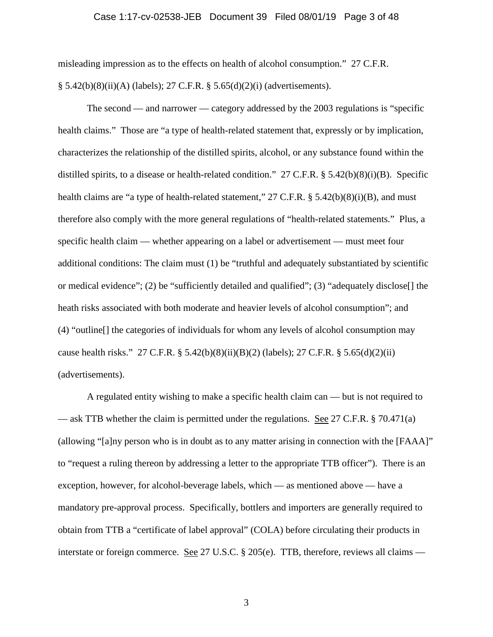#### Case 1:17-cv-02538-JEB Document 39 Filed 08/01/19 Page 3 of 48

misleading impression as to the effects on health of alcohol consumption." 27 C.F.R. § 5.42(b)(8)(ii)(A) (labels); 27 C.F.R. § 5.65(d)(2)(i) (advertisements).

The second — and narrower — category addressed by the 2003 regulations is "specific health claims." Those are "a type of health-related statement that, expressly or by implication, characterizes the relationship of the distilled spirits, alcohol, or any substance found within the distilled spirits, to a disease or health-related condition." 27 C.F.R. § 5.42(b)(8)(i)(B). Specific health claims are "a type of health-related statement," 27 C.F.R. § 5.42(b)(8)(i)(B), and must therefore also comply with the more general regulations of "health-related statements." Plus, a specific health claim — whether appearing on a label or advertisement — must meet four additional conditions: The claim must (1) be "truthful and adequately substantiated by scientific or medical evidence"; (2) be "sufficiently detailed and qualified"; (3) "adequately disclose. [] the heath risks associated with both moderate and heavier levels of alcohol consumption"; and (4) "outline[] the categories of individuals for whom any levels of alcohol consumption may cause health risks." 27 C.F.R. § 5.42(b)(8)(ii)(B)(2) (labels); 27 C.F.R. § 5.65(d)(2)(ii) (advertisements).

A regulated entity wishing to make a specific health claim can — but is not required to — ask TTB whether the claim is permitted under the regulations. See 27 C.F.R. § 70.471(a) (allowing "[a]ny person who is in doubt as to any matter arising in connection with the [FAAA]" to "request a ruling thereon by addressing a letter to the appropriate TTB officer"). There is an exception, however, for alcohol-beverage labels, which — as mentioned above — have a mandatory pre-approval process. Specifically, bottlers and importers are generally required to obtain from TTB a "certificate of label approval" (COLA) before circulating their products in interstate or foreign commerce. See 27 U.S.C. § 205(e). TTB, therefore, reviews all claims —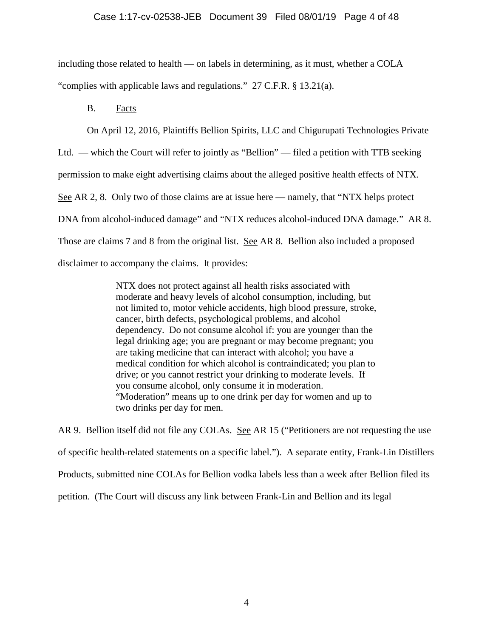### Case 1:17-cv-02538-JEB Document 39 Filed 08/01/19 Page 4 of 48

including those related to health — on labels in determining, as it must, whether a COLA "complies with applicable laws and regulations." 27 C.F.R. § 13.21(a).

B. Facts

On April 12, 2016, Plaintiffs Bellion Spirits, LLC and Chigurupati Technologies Private

Ltd. — which the Court will refer to jointly as "Bellion" — filed a petition with TTB seeking

permission to make eight advertising claims about the alleged positive health effects of NTX.

See AR 2, 8. Only two of those claims are at issue here — namely, that "NTX helps protect

DNA from alcohol-induced damage" and "NTX reduces alcohol-induced DNA damage." AR 8.

Those are claims 7 and 8 from the original list. See AR 8. Bellion also included a proposed

disclaimer to accompany the claims. It provides:

NTX does not protect against all health risks associated with moderate and heavy levels of alcohol consumption, including, but not limited to, motor vehicle accidents, high blood pressure, stroke, cancer, birth defects, psychological problems, and alcohol dependency. Do not consume alcohol if: you are younger than the legal drinking age; you are pregnant or may become pregnant; you are taking medicine that can interact with alcohol; you have a medical condition for which alcohol is contraindicated; you plan to drive; or you cannot restrict your drinking to moderate levels. If you consume alcohol, only consume it in moderation. "Moderation" means up to one drink per day for women and up to two drinks per day for men.

AR 9. Bellion itself did not file any COLAs. See AR 15 ("Petitioners are not requesting the use of specific health-related statements on a specific label."). A separate entity, Frank-Lin Distillers Products, submitted nine COLAs for Bellion vodka labels less than a week after Bellion filed its petition. (The Court will discuss any link between Frank-Lin and Bellion and its legal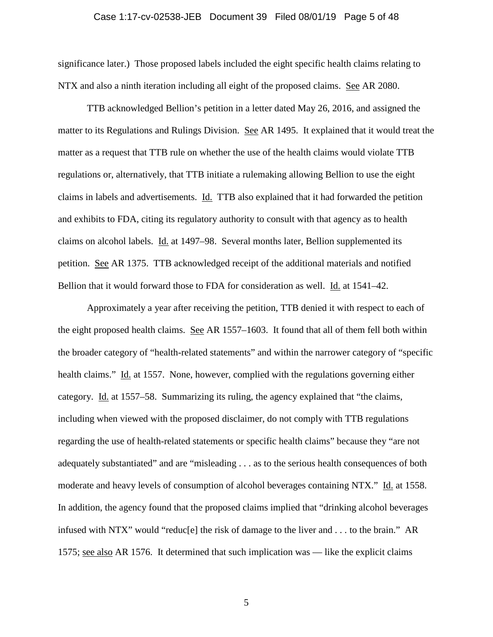#### Case 1:17-cv-02538-JEB Document 39 Filed 08/01/19 Page 5 of 48

significance later.) Those proposed labels included the eight specific health claims relating to NTX and also a ninth iteration including all eight of the proposed claims. See AR 2080.

TTB acknowledged Bellion's petition in a letter dated May 26, 2016, and assigned the matter to its Regulations and Rulings Division. See AR 1495. It explained that it would treat the matter as a request that TTB rule on whether the use of the health claims would violate TTB regulations or, alternatively, that TTB initiate a rulemaking allowing Bellion to use the eight claims in labels and advertisements. Id. TTB also explained that it had forwarded the petition and exhibits to FDA, citing its regulatory authority to consult with that agency as to health claims on alcohol labels. Id. at 1497–98. Several months later, Bellion supplemented its petition. See AR 1375. TTB acknowledged receipt of the additional materials and notified Bellion that it would forward those to FDA for consideration as well. Id. at 1541–42.

Approximately a year after receiving the petition, TTB denied it with respect to each of the eight proposed health claims. See AR 1557–1603. It found that all of them fell both within the broader category of "health-related statements" and within the narrower category of "specific health claims." Id. at 1557. None, however, complied with the regulations governing either category. Id. at 1557–58. Summarizing its ruling, the agency explained that "the claims, including when viewed with the proposed disclaimer, do not comply with TTB regulations regarding the use of health-related statements or specific health claims" because they "are not adequately substantiated" and are "misleading . . . as to the serious health consequences of both moderate and heavy levels of consumption of alcohol beverages containing NTX." Id. at 1558. In addition, the agency found that the proposed claims implied that "drinking alcohol beverages infused with NTX" would "reduc[e] the risk of damage to the liver and . . . to the brain." AR 1575; see also AR 1576. It determined that such implication was — like the explicit claims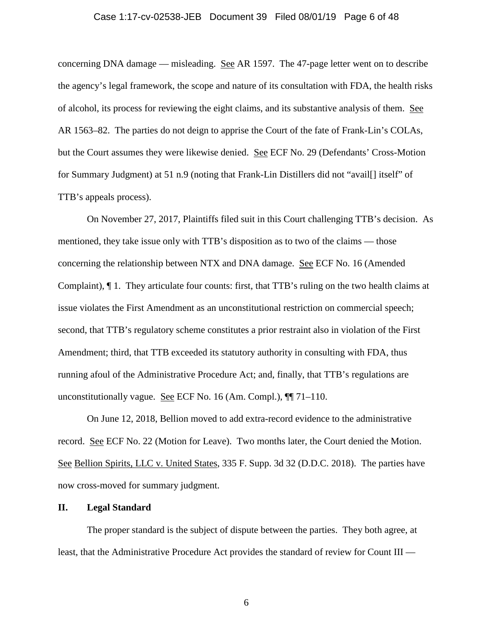#### Case 1:17-cv-02538-JEB Document 39 Filed 08/01/19 Page 6 of 48

concerning DNA damage — misleading. See AR 1597. The 47-page letter went on to describe the agency's legal framework, the scope and nature of its consultation with FDA, the health risks of alcohol, its process for reviewing the eight claims, and its substantive analysis of them. See AR 1563–82. The parties do not deign to apprise the Court of the fate of Frank-Lin's COLAs, but the Court assumes they were likewise denied. See ECF No. 29 (Defendants' Cross-Motion for Summary Judgment) at 51 n.9 (noting that Frank-Lin Distillers did not "avail[] itself" of TTB's appeals process).

On November 27, 2017, Plaintiffs filed suit in this Court challenging TTB's decision. As mentioned, they take issue only with TTB's disposition as to two of the claims — those concerning the relationship between NTX and DNA damage. See ECF No. 16 (Amended Complaint), ¶ 1. They articulate four counts: first, that TTB's ruling on the two health claims at issue violates the First Amendment as an unconstitutional restriction on commercial speech; second, that TTB's regulatory scheme constitutes a prior restraint also in violation of the First Amendment; third, that TTB exceeded its statutory authority in consulting with FDA, thus running afoul of the Administrative Procedure Act; and, finally, that TTB's regulations are unconstitutionally vague. See ECF No. 16 (Am. Compl.), ¶¶ 71–110.

On June 12, 2018, Bellion moved to add extra-record evidence to the administrative record. See ECF No. 22 (Motion for Leave). Two months later, the Court denied the Motion. See Bellion Spirits, LLC v. United States, 335 F. Supp. 3d 32 (D.D.C. 2018). The parties have now cross-moved for summary judgment.

#### **II. Legal Standard**

The proper standard is the subject of dispute between the parties. They both agree, at least, that the Administrative Procedure Act provides the standard of review for Count III —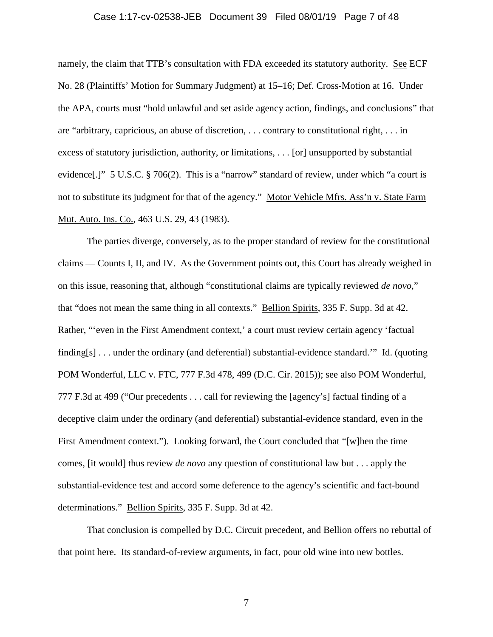#### Case 1:17-cv-02538-JEB Document 39 Filed 08/01/19 Page 7 of 48

namely, the claim that TTB's consultation with FDA exceeded its statutory authority. See ECF No. 28 (Plaintiffs' Motion for Summary Judgment) at 15–16; Def. Cross-Motion at 16. Under the APA, courts must "hold unlawful and set aside agency action, findings, and conclusions" that are "arbitrary, capricious, an abuse of discretion, . . . contrary to constitutional right, . . . in excess of statutory jurisdiction, authority, or limitations, . . . [or] unsupported by substantial evidence[.]" 5 U.S.C. § 706(2). This is a "narrow" standard of review, under which "a court is not to substitute its judgment for that of the agency." Motor Vehicle Mfrs. Ass'n v. State Farm Mut. Auto. Ins. Co., 463 U.S. 29, 43 (1983).

The parties diverge, conversely, as to the proper standard of review for the constitutional claims — Counts I, II, and IV. As the Government points out, this Court has already weighed in on this issue, reasoning that, although "constitutional claims are typically reviewed *de novo*," that "does not mean the same thing in all contexts." Bellion Spirits, 335 F. Supp. 3d at 42. Rather, "'even in the First Amendment context,' a court must review certain agency 'factual finding[s] . . . under the ordinary (and deferential) substantial-evidence standard.'" Id. (quoting POM Wonderful, LLC v. FTC, 777 F.3d 478, 499 (D.C. Cir. 2015)); see also POM Wonderful, 777 F.3d at 499 ("Our precedents . . . call for reviewing the [agency's] factual finding of a deceptive claim under the ordinary (and deferential) substantial-evidence standard, even in the First Amendment context."). Looking forward, the Court concluded that "[w]hen the time comes, [it would] thus review *de novo* any question of constitutional law but . . . apply the substantial-evidence test and accord some deference to the agency's scientific and fact-bound determinations." Bellion Spirits, 335 F. Supp. 3d at 42.

That conclusion is compelled by D.C. Circuit precedent, and Bellion offers no rebuttal of that point here. Its standard-of-review arguments, in fact, pour old wine into new bottles.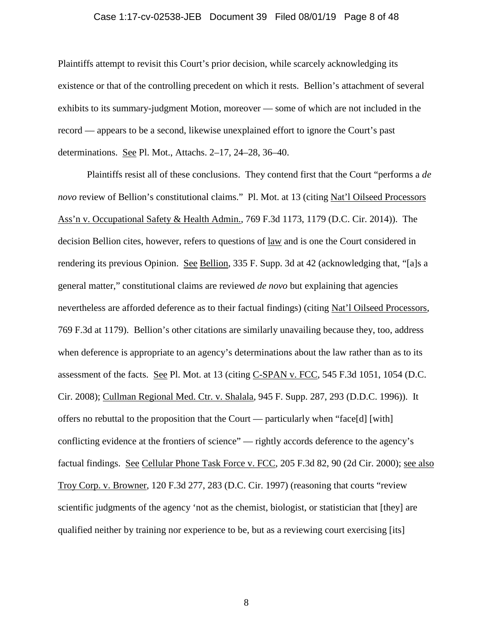#### Case 1:17-cv-02538-JEB Document 39 Filed 08/01/19 Page 8 of 48

Plaintiffs attempt to revisit this Court's prior decision, while scarcely acknowledging its existence or that of the controlling precedent on which it rests. Bellion's attachment of several exhibits to its summary-judgment Motion, moreover — some of which are not included in the record — appears to be a second, likewise unexplained effort to ignore the Court's past determinations. See Pl. Mot., Attachs. 2–17, 24–28, 36–40.

Plaintiffs resist all of these conclusions. They contend first that the Court "performs a *de novo* review of Bellion's constitutional claims." Pl. Mot. at 13 (citing Nat'l Oilseed Processors Ass'n v. Occupational Safety & Health Admin., 769 F.3d 1173, 1179 (D.C. Cir. 2014)). The decision Bellion cites, however, refers to questions of law and is one the Court considered in rendering its previous Opinion. See Bellion, 335 F. Supp. 3d at 42 (acknowledging that, "[a]s a general matter," constitutional claims are reviewed *de novo* but explaining that agencies nevertheless are afforded deference as to their factual findings) (citing Nat'l Oilseed Processors, 769 F.3d at 1179). Bellion's other citations are similarly unavailing because they, too, address when deference is appropriate to an agency's determinations about the law rather than as to its assessment of the facts. See Pl. Mot. at 13 (citing C-SPAN v. FCC, 545 F.3d 1051, 1054 (D.C. Cir. 2008); Cullman Regional Med. Ctr. v. Shalala, 945 F. Supp. 287, 293 (D.D.C. 1996)). It offers no rebuttal to the proposition that the Court — particularly when "face[d] [with] conflicting evidence at the frontiers of science" — rightly accords deference to the agency's factual findings. See Cellular Phone Task Force v. FCC, 205 F.3d 82, 90 (2d Cir. 2000); see also Troy Corp. v. Browner, 120 F.3d 277, 283 (D.C. Cir. 1997) (reasoning that courts "review scientific judgments of the agency 'not as the chemist, biologist, or statistician that [they] are qualified neither by training nor experience to be, but as a reviewing court exercising [its]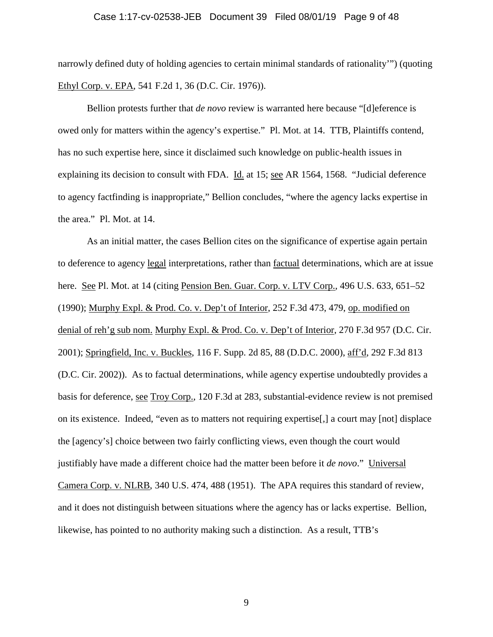#### Case 1:17-cv-02538-JEB Document 39 Filed 08/01/19 Page 9 of 48

narrowly defined duty of holding agencies to certain minimal standards of rationality'") (quoting Ethyl Corp. v. EPA, 541 F.2d 1, 36 (D.C. Cir. 1976)).

Bellion protests further that *de novo* review is warranted here because "[d]eference is owed only for matters within the agency's expertise." Pl. Mot. at 14. TTB, Plaintiffs contend, has no such expertise here, since it disclaimed such knowledge on public-health issues in explaining its decision to consult with FDA. Id. at 15; see AR 1564, 1568. "Judicial deference to agency factfinding is inappropriate," Bellion concludes, "where the agency lacks expertise in the area." Pl. Mot. at 14.

As an initial matter, the cases Bellion cites on the significance of expertise again pertain to deference to agency legal interpretations, rather than factual determinations, which are at issue here. See Pl. Mot. at 14 (citing Pension Ben. Guar. Corp. v. LTV Corp., 496 U.S. 633, 651–52 (1990); Murphy Expl. & Prod. Co. v. Dep't of Interior, 252 F.3d 473, 479, op. modified on denial of reh'g sub nom. Murphy Expl. & Prod. Co. v. Dep't of Interior, 270 F.3d 957 (D.C. Cir. 2001); Springfield, Inc. v. Buckles, 116 F. Supp. 2d 85, 88 (D.D.C. 2000), aff'd, 292 F.3d 813 (D.C. Cir. 2002)). As to factual determinations, while agency expertise undoubtedly provides a basis for deference, see Troy Corp., 120 F.3d at 283, substantial-evidence review is not premised on its existence. Indeed, "even as to matters not requiring expertise[,] a court may [not] displace the [agency's] choice between two fairly conflicting views, even though the court would justifiably have made a different choice had the matter been before it *de novo*." Universal Camera Corp. v. NLRB, 340 U.S. 474, 488 (1951). The APA requires this standard of review, and it does not distinguish between situations where the agency has or lacks expertise. Bellion, likewise, has pointed to no authority making such a distinction. As a result, TTB's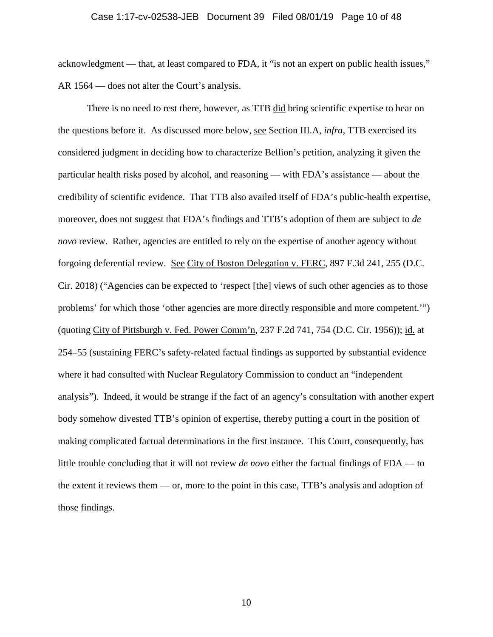# Case 1:17-cv-02538-JEB Document 39 Filed 08/01/19 Page 10 of 48

acknowledgment — that, at least compared to FDA, it "is not an expert on public health issues," AR 1564 — does not alter the Court's analysis.

There is no need to rest there, however, as TTB did bring scientific expertise to bear on the questions before it. As discussed more below, see Section III.A, *infra*, TTB exercised its considered judgment in deciding how to characterize Bellion's petition, analyzing it given the particular health risks posed by alcohol, and reasoning — with FDA's assistance — about the credibility of scientific evidence. That TTB also availed itself of FDA's public-health expertise, moreover, does not suggest that FDA's findings and TTB's adoption of them are subject to *de novo* review. Rather, agencies are entitled to rely on the expertise of another agency without forgoing deferential review. See City of Boston Delegation v. FERC, 897 F.3d 241, 255 (D.C. Cir. 2018) ("Agencies can be expected to 'respect [the] views of such other agencies as to those problems' for which those 'other agencies are more directly responsible and more competent.'") (quoting City of Pittsburgh v. Fed. Power Comm'n, 237 F.2d 741, 754 (D.C. Cir. 1956)); id. at 254–55 (sustaining FERC's safety-related factual findings as supported by substantial evidence where it had consulted with Nuclear Regulatory Commission to conduct an "independent analysis"). Indeed, it would be strange if the fact of an agency's consultation with another expert body somehow divested TTB's opinion of expertise, thereby putting a court in the position of making complicated factual determinations in the first instance. This Court, consequently, has little trouble concluding that it will not review *de novo* either the factual findings of FDA — to the extent it reviews them — or, more to the point in this case, TTB's analysis and adoption of those findings.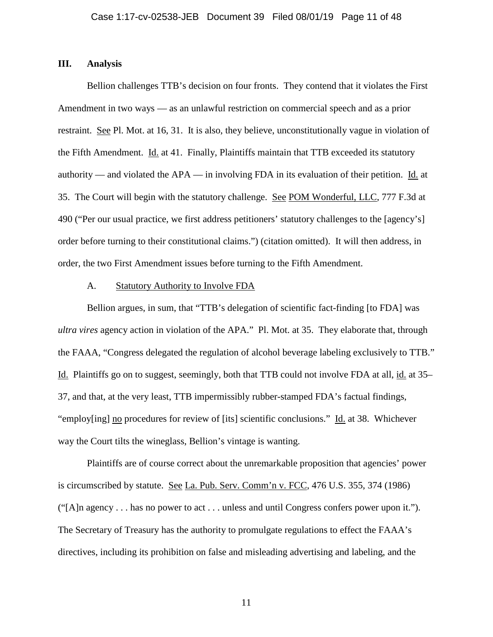### **III. Analysis**

Bellion challenges TTB's decision on four fronts. They contend that it violates the First Amendment in two ways — as an unlawful restriction on commercial speech and as a prior restraint. See Pl. Mot. at 16, 31. It is also, they believe, unconstitutionally vague in violation of the Fifth Amendment. Id. at 41. Finally, Plaintiffs maintain that TTB exceeded its statutory authority — and violated the APA — in involving FDA in its evaluation of their petition. Id. at 35. The Court will begin with the statutory challenge. See POM Wonderful, LLC, 777 F.3d at 490 ("Per our usual practice, we first address petitioners' statutory challenges to the [agency's] order before turning to their constitutional claims.") (citation omitted). It will then address, in order, the two First Amendment issues before turning to the Fifth Amendment.

### A. Statutory Authority to Involve FDA

Bellion argues, in sum, that "TTB's delegation of scientific fact-finding [to FDA] was *ultra vires* agency action in violation of the APA." Pl. Mot. at 35. They elaborate that, through the FAAA, "Congress delegated the regulation of alcohol beverage labeling exclusively to TTB." Id. Plaintiffs go on to suggest, seemingly, both that TTB could not involve FDA at all, id. at 35– 37, and that, at the very least, TTB impermissibly rubber-stamped FDA's factual findings, "employ[ing] no procedures for review of [its] scientific conclusions." Id. at 38. Whichever way the Court tilts the wineglass, Bellion's vintage is wanting.

Plaintiffs are of course correct about the unremarkable proposition that agencies' power is circumscribed by statute. See La. Pub. Serv. Comm'n v. FCC, 476 U.S. 355, 374 (1986) ("[A]n agency . . . has no power to act . . . unless and until Congress confers power upon it."). The Secretary of Treasury has the authority to promulgate regulations to effect the FAAA's directives, including its prohibition on false and misleading advertising and labeling, and the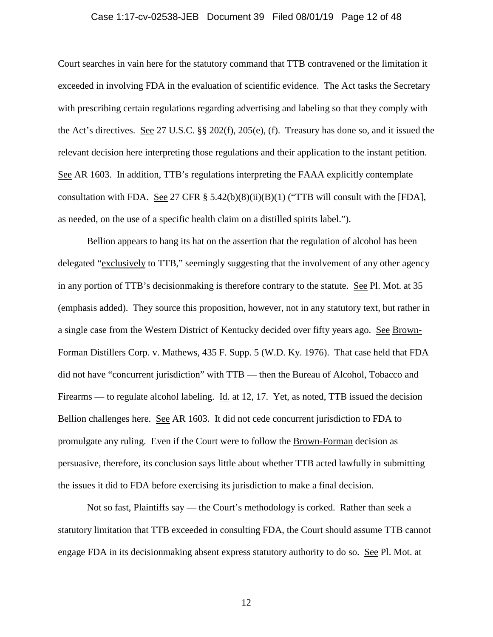### Case 1:17-cv-02538-JEB Document 39 Filed 08/01/19 Page 12 of 48

Court searches in vain here for the statutory command that TTB contravened or the limitation it exceeded in involving FDA in the evaluation of scientific evidence. The Act tasks the Secretary with prescribing certain regulations regarding advertising and labeling so that they comply with the Act's directives. See 27 U.S.C. §§ 202(f), 205(e), (f). Treasury has done so, and it issued the relevant decision here interpreting those regulations and their application to the instant petition. See AR 1603. In addition, TTB's regulations interpreting the FAAA explicitly contemplate consultation with FDA. See 27 CFR  $\S$  5.42(b)(8)(ii)(B)(1) ("TTB will consult with the [FDA], as needed, on the use of a specific health claim on a distilled spirits label.").

Bellion appears to hang its hat on the assertion that the regulation of alcohol has been delegated "exclusively to TTB," seemingly suggesting that the involvement of any other agency in any portion of TTB's decisionmaking is therefore contrary to the statute. See Pl. Mot. at 35 (emphasis added). They source this proposition, however, not in any statutory text, but rather in a single case from the Western District of Kentucky decided over fifty years ago. See Brown-Forman Distillers Corp. v. Mathews, 435 F. Supp. 5 (W.D. Ky. 1976). That case held that FDA did not have "concurrent jurisdiction" with TTB — then the Bureau of Alcohol, Tobacco and Firearms — to regulate alcohol labeling. Id. at 12, 17. Yet, as noted, TTB issued the decision Bellion challenges here. See AR 1603. It did not cede concurrent jurisdiction to FDA to promulgate any ruling. Even if the Court were to follow the Brown-Forman decision as persuasive, therefore, its conclusion says little about whether TTB acted lawfully in submitting the issues it did to FDA before exercising its jurisdiction to make a final decision.

Not so fast, Plaintiffs say — the Court's methodology is corked. Rather than seek a statutory limitation that TTB exceeded in consulting FDA, the Court should assume TTB cannot engage FDA in its decisionmaking absent express statutory authority to do so. See Pl. Mot. at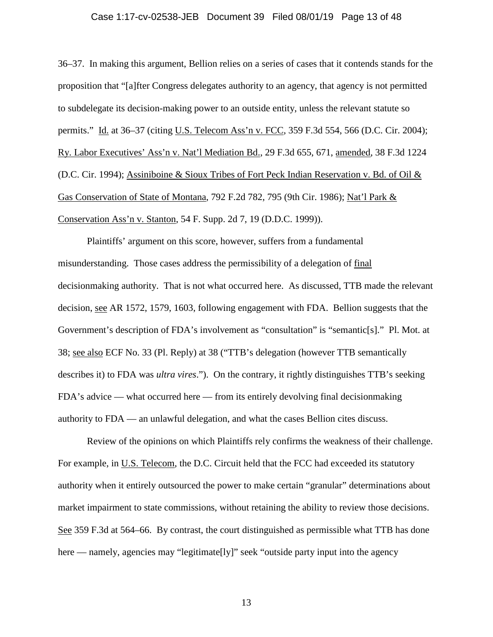### Case 1:17-cv-02538-JEB Document 39 Filed 08/01/19 Page 13 of 48

36–37. In making this argument, Bellion relies on a series of cases that it contends stands for the proposition that "[a]fter Congress delegates authority to an agency, that agency is not permitted to subdelegate its decision-making power to an outside entity, unless the relevant statute so permits." Id. at 36–37 (citing U.S. Telecom Ass'n v. FCC, 359 F.3d 554, 566 (D.C. Cir. 2004); Ry. Labor Executives' Ass'n v. Nat'l Mediation Bd., 29 F.3d 655, 671, amended, 38 F.3d 1224 (D.C. Cir. 1994); Assiniboine & Sioux Tribes of Fort Peck Indian Reservation v. Bd. of Oil & Gas Conservation of State of Montana, 792 F.2d 782, 795 (9th Cir. 1986); Nat'l Park & Conservation Ass'n v. Stanton, 54 F. Supp. 2d 7, 19 (D.D.C. 1999)).

Plaintiffs' argument on this score, however, suffers from a fundamental misunderstanding. Those cases address the permissibility of a delegation of final decisionmaking authority. That is not what occurred here. As discussed, TTB made the relevant decision, see AR 1572, 1579, 1603, following engagement with FDA. Bellion suggests that the Government's description of FDA's involvement as "consultation" is "semantic[s]." Pl. Mot. at 38; see also ECF No. 33 (Pl. Reply) at 38 ("TTB's delegation (however TTB semantically describes it) to FDA was *ultra vires*."). On the contrary, it rightly distinguishes TTB's seeking FDA's advice — what occurred here — from its entirely devolving final decisionmaking authority to FDA — an unlawful delegation, and what the cases Bellion cites discuss.

Review of the opinions on which Plaintiffs rely confirms the weakness of their challenge. For example, in U.S. Telecom, the D.C. Circuit held that the FCC had exceeded its statutory authority when it entirely outsourced the power to make certain "granular" determinations about market impairment to state commissions, without retaining the ability to review those decisions. See 359 F.3d at 564–66. By contrast, the court distinguished as permissible what TTB has done here — namely, agencies may "legitimate[ly]" seek "outside party input into the agency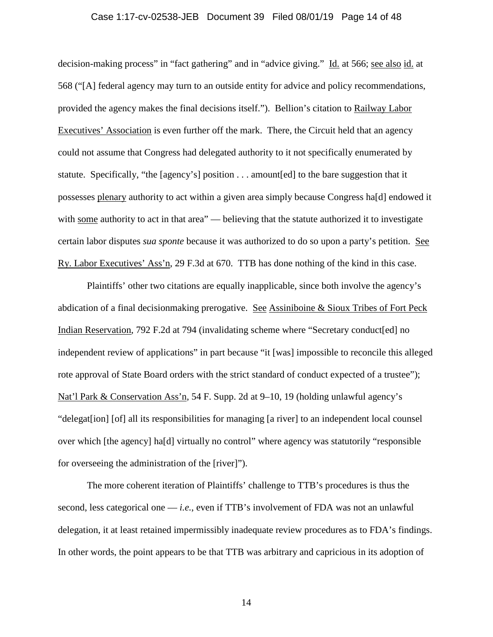### Case 1:17-cv-02538-JEB Document 39 Filed 08/01/19 Page 14 of 48

decision-making process" in "fact gathering" and in "advice giving." Id. at 566; see also id. at 568 ("[A] federal agency may turn to an outside entity for advice and policy recommendations, provided the agency makes the final decisions itself."). Bellion's citation to Railway Labor Executives' Association is even further off the mark. There, the Circuit held that an agency could not assume that Congress had delegated authority to it not specifically enumerated by statute. Specifically, "the [agency's] position . . . amount[ed] to the bare suggestion that it possesses plenary authority to act within a given area simply because Congress ha[d] endowed it with some authority to act in that area" — believing that the statute authorized it to investigate certain labor disputes *sua sponte* because it was authorized to do so upon a party's petition. See Ry. Labor Executives' Ass'n, 29 F.3d at 670. TTB has done nothing of the kind in this case.

Plaintiffs' other two citations are equally inapplicable, since both involve the agency's abdication of a final decisionmaking prerogative. See Assiniboine & Sioux Tribes of Fort Peck Indian Reservation, 792 F.2d at 794 (invalidating scheme where "Secretary conduct[ed] no independent review of applications" in part because "it [was] impossible to reconcile this alleged rote approval of State Board orders with the strict standard of conduct expected of a trustee"); Nat'l Park & Conservation Ass'n, 54 F. Supp. 2d at 9–10, 19 (holding unlawful agency's "delegat[ion] [of] all its responsibilities for managing [a river] to an independent local counsel over which [the agency] ha[d] virtually no control" where agency was statutorily "responsible for overseeing the administration of the [river]").

The more coherent iteration of Plaintiffs' challenge to TTB's procedures is thus the second, less categorical one — *i.e.*, even if TTB's involvement of FDA was not an unlawful delegation, it at least retained impermissibly inadequate review procedures as to FDA's findings. In other words, the point appears to be that TTB was arbitrary and capricious in its adoption of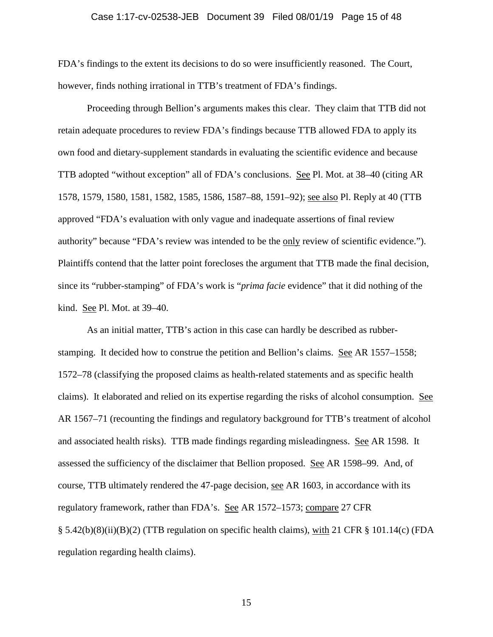# Case 1:17-cv-02538-JEB Document 39 Filed 08/01/19 Page 15 of 48

FDA's findings to the extent its decisions to do so were insufficiently reasoned. The Court, however, finds nothing irrational in TTB's treatment of FDA's findings.

Proceeding through Bellion's arguments makes this clear. They claim that TTB did not retain adequate procedures to review FDA's findings because TTB allowed FDA to apply its own food and dietary-supplement standards in evaluating the scientific evidence and because TTB adopted "without exception" all of FDA's conclusions. See Pl. Mot. at 38–40 (citing AR 1578, 1579, 1580, 1581, 1582, 1585, 1586, 1587–88, 1591–92); see also Pl. Reply at 40 (TTB approved "FDA's evaluation with only vague and inadequate assertions of final review authority" because "FDA's review was intended to be the only review of scientific evidence."). Plaintiffs contend that the latter point forecloses the argument that TTB made the final decision, since its "rubber-stamping" of FDA's work is "*prima facie* evidence" that it did nothing of the kind. See Pl. Mot. at 39–40.

As an initial matter, TTB's action in this case can hardly be described as rubberstamping. It decided how to construe the petition and Bellion's claims. See AR 1557–1558; 1572–78 (classifying the proposed claims as health-related statements and as specific health claims). It elaborated and relied on its expertise regarding the risks of alcohol consumption. See AR 1567–71 (recounting the findings and regulatory background for TTB's treatment of alcohol and associated health risks). TTB made findings regarding misleadingness. See AR 1598. It assessed the sufficiency of the disclaimer that Bellion proposed. See AR 1598–99. And, of course, TTB ultimately rendered the 47-page decision, see AR 1603, in accordance with its regulatory framework, rather than FDA's. See AR 1572–1573; compare 27 CFR § 5.42(b)(8)(ii)(B)(2) (TTB regulation on specific health claims), with 21 CFR § 101.14(c) (FDA regulation regarding health claims).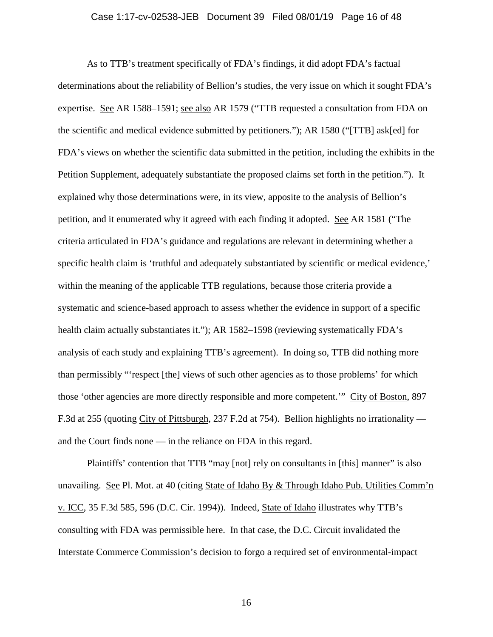### Case 1:17-cv-02538-JEB Document 39 Filed 08/01/19 Page 16 of 48

As to TTB's treatment specifically of FDA's findings, it did adopt FDA's factual determinations about the reliability of Bellion's studies, the very issue on which it sought FDA's expertise. See AR 1588–1591; see also AR 1579 ("TTB requested a consultation from FDA on the scientific and medical evidence submitted by petitioners."); AR 1580 ("[TTB] ask[ed] for FDA's views on whether the scientific data submitted in the petition, including the exhibits in the Petition Supplement, adequately substantiate the proposed claims set forth in the petition."). It explained why those determinations were, in its view, apposite to the analysis of Bellion's petition, and it enumerated why it agreed with each finding it adopted. See AR 1581 ("The criteria articulated in FDA's guidance and regulations are relevant in determining whether a specific health claim is 'truthful and adequately substantiated by scientific or medical evidence,' within the meaning of the applicable TTB regulations, because those criteria provide a systematic and science-based approach to assess whether the evidence in support of a specific health claim actually substantiates it."); AR 1582–1598 (reviewing systematically FDA's analysis of each study and explaining TTB's agreement). In doing so, TTB did nothing more than permissibly "'respect [the] views of such other agencies as to those problems' for which those 'other agencies are more directly responsible and more competent.'" City of Boston, 897 F.3d at 255 (quoting City of Pittsburgh, 237 F.2d at 754). Bellion highlights no irrationality and the Court finds none — in the reliance on FDA in this regard.

Plaintiffs' contention that TTB "may [not] rely on consultants in [this] manner" is also unavailing. See Pl. Mot. at 40 (citing State of Idaho By & Through Idaho Pub. Utilities Comm'n v. ICC, 35 F.3d 585, 596 (D.C. Cir. 1994)). Indeed, State of Idaho illustrates why TTB's consulting with FDA was permissible here. In that case, the D.C. Circuit invalidated the Interstate Commerce Commission's decision to forgo a required set of environmental-impact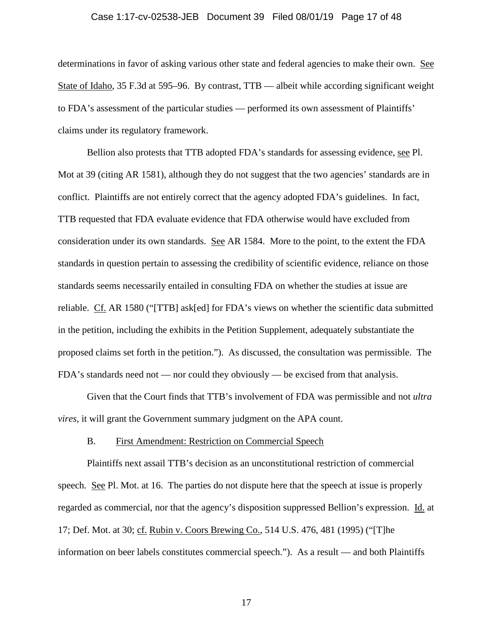# Case 1:17-cv-02538-JEB Document 39 Filed 08/01/19 Page 17 of 48

determinations in favor of asking various other state and federal agencies to make their own. See State of Idaho, 35 F.3d at 595–96. By contrast, TTB — albeit while according significant weight to FDA's assessment of the particular studies — performed its own assessment of Plaintiffs' claims under its regulatory framework.

Bellion also protests that TTB adopted FDA's standards for assessing evidence, see Pl. Mot at 39 (citing AR 1581), although they do not suggest that the two agencies' standards are in conflict. Plaintiffs are not entirely correct that the agency adopted FDA's guidelines. In fact, TTB requested that FDA evaluate evidence that FDA otherwise would have excluded from consideration under its own standards. See AR 1584. More to the point, to the extent the FDA standards in question pertain to assessing the credibility of scientific evidence, reliance on those standards seems necessarily entailed in consulting FDA on whether the studies at issue are reliable. Cf. AR 1580 ("[TTB] ask[ed] for FDA's views on whether the scientific data submitted in the petition, including the exhibits in the Petition Supplement, adequately substantiate the proposed claims set forth in the petition."). As discussed, the consultation was permissible. The FDA's standards need not — nor could they obviously — be excised from that analysis.

Given that the Court finds that TTB's involvement of FDA was permissible and not *ultra vires*, it will grant the Government summary judgment on the APA count.

### B. First Amendment: Restriction on Commercial Speech

Plaintiffs next assail TTB's decision as an unconstitutional restriction of commercial speech. See Pl. Mot. at 16. The parties do not dispute here that the speech at issue is properly regarded as commercial, nor that the agency's disposition suppressed Bellion's expression. Id. at 17; Def. Mot. at 30; cf. Rubin v. Coors Brewing Co., 514 U.S. 476, 481 (1995) ("[T]he information on beer labels constitutes commercial speech."). As a result — and both Plaintiffs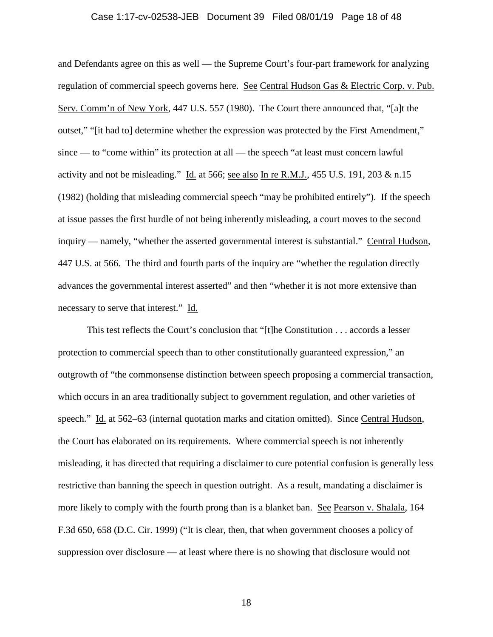### Case 1:17-cv-02538-JEB Document 39 Filed 08/01/19 Page 18 of 48

and Defendants agree on this as well — the Supreme Court's four-part framework for analyzing regulation of commercial speech governs here. See Central Hudson Gas & Electric Corp. v. Pub. Serv. Comm'n of New York, 447 U.S. 557 (1980). The Court there announced that, "[a]t the outset," "[it had to] determine whether the expression was protected by the First Amendment," since — to "come within" its protection at all — the speech "at least must concern lawful activity and not be misleading." Id. at 566; see also In re R.M.J., 455 U.S. 191, 203 & n.15 (1982) (holding that misleading commercial speech "may be prohibited entirely"). If the speech at issue passes the first hurdle of not being inherently misleading, a court moves to the second inquiry — namely, "whether the asserted governmental interest is substantial." Central Hudson, 447 U.S. at 566. The third and fourth parts of the inquiry are "whether the regulation directly advances the governmental interest asserted" and then "whether it is not more extensive than necessary to serve that interest." Id.

This test reflects the Court's conclusion that "[t]he Constitution . . . accords a lesser protection to commercial speech than to other constitutionally guaranteed expression," an outgrowth of "the commonsense distinction between speech proposing a commercial transaction, which occurs in an area traditionally subject to government regulation, and other varieties of speech." Id. at 562–63 (internal quotation marks and citation omitted). Since Central Hudson, the Court has elaborated on its requirements. Where commercial speech is not inherently misleading, it has directed that requiring a disclaimer to cure potential confusion is generally less restrictive than banning the speech in question outright. As a result, mandating a disclaimer is more likely to comply with the fourth prong than is a blanket ban. See Pearson v. Shalala, 164 F.3d 650, 658 (D.C. Cir. 1999) ("It is clear, then, that when government chooses a policy of suppression over disclosure — at least where there is no showing that disclosure would not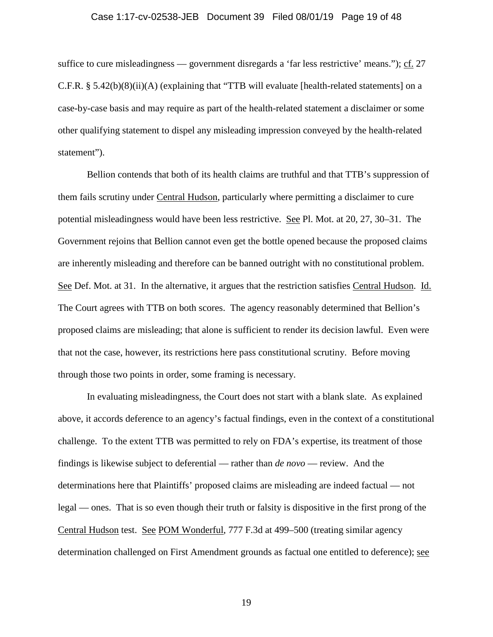### Case 1:17-cv-02538-JEB Document 39 Filed 08/01/19 Page 19 of 48

suffice to cure misleadingness — government disregards a 'far less restrictive' means."); cf. 27 C.F.R. § 5.42(b)(8)(ii)(A) (explaining that "TTB will evaluate [health-related statements] on a case-by-case basis and may require as part of the health-related statement a disclaimer or some other qualifying statement to dispel any misleading impression conveyed by the health-related statement").

Bellion contends that both of its health claims are truthful and that TTB's suppression of them fails scrutiny under Central Hudson, particularly where permitting a disclaimer to cure potential misleadingness would have been less restrictive. See Pl. Mot. at 20, 27, 30–31. The Government rejoins that Bellion cannot even get the bottle opened because the proposed claims are inherently misleading and therefore can be banned outright with no constitutional problem. See Def. Mot. at 31. In the alternative, it argues that the restriction satisfies Central Hudson. Id. The Court agrees with TTB on both scores. The agency reasonably determined that Bellion's proposed claims are misleading; that alone is sufficient to render its decision lawful. Even were that not the case, however, its restrictions here pass constitutional scrutiny. Before moving through those two points in order, some framing is necessary.

In evaluating misleadingness, the Court does not start with a blank slate. As explained above, it accords deference to an agency's factual findings, even in the context of a constitutional challenge. To the extent TTB was permitted to rely on FDA's expertise, its treatment of those findings is likewise subject to deferential — rather than *de novo* — review. And the determinations here that Plaintiffs' proposed claims are misleading are indeed factual — not legal — ones. That is so even though their truth or falsity is dispositive in the first prong of the Central Hudson test. See POM Wonderful, 777 F.3d at 499–500 (treating similar agency determination challenged on First Amendment grounds as factual one entitled to deference); see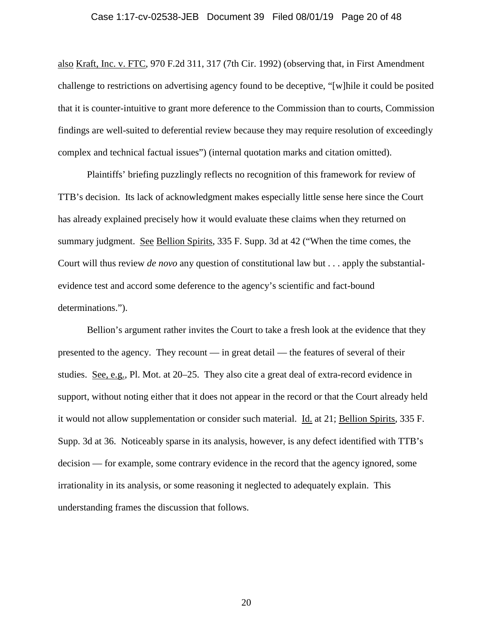# Case 1:17-cv-02538-JEB Document 39 Filed 08/01/19 Page 20 of 48

also Kraft, Inc. v. FTC, 970 F.2d 311, 317 (7th Cir. 1992) (observing that, in First Amendment challenge to restrictions on advertising agency found to be deceptive, "[w]hile it could be posited that it is counter-intuitive to grant more deference to the Commission than to courts, Commission findings are well-suited to deferential review because they may require resolution of exceedingly complex and technical factual issues") (internal quotation marks and citation omitted).

Plaintiffs' briefing puzzlingly reflects no recognition of this framework for review of TTB's decision. Its lack of acknowledgment makes especially little sense here since the Court has already explained precisely how it would evaluate these claims when they returned on summary judgment. See Bellion Spirits, 335 F. Supp. 3d at 42 ("When the time comes, the Court will thus review *de novo* any question of constitutional law but . . . apply the substantialevidence test and accord some deference to the agency's scientific and fact-bound determinations.").

Bellion's argument rather invites the Court to take a fresh look at the evidence that they presented to the agency. They recount — in great detail — the features of several of their studies. See, e.g., Pl. Mot. at 20–25. They also cite a great deal of extra-record evidence in support, without noting either that it does not appear in the record or that the Court already held it would not allow supplementation or consider such material. Id. at 21; Bellion Spirits, 335 F. Supp. 3d at 36. Noticeably sparse in its analysis, however, is any defect identified with TTB's decision — for example, some contrary evidence in the record that the agency ignored, some irrationality in its analysis, or some reasoning it neglected to adequately explain. This understanding frames the discussion that follows.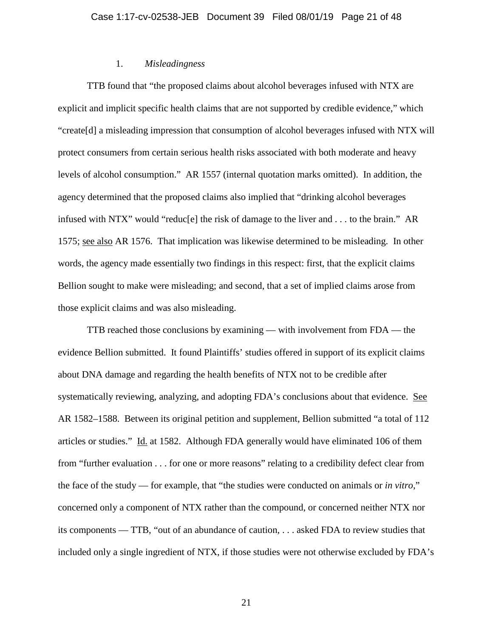### 1. *Misleadingness*

TTB found that "the proposed claims about alcohol beverages infused with NTX are explicit and implicit specific health claims that are not supported by credible evidence," which "create[d] a misleading impression that consumption of alcohol beverages infused with NTX will protect consumers from certain serious health risks associated with both moderate and heavy levels of alcohol consumption." AR 1557 (internal quotation marks omitted). In addition, the agency determined that the proposed claims also implied that "drinking alcohol beverages infused with NTX" would "reduc[e] the risk of damage to the liver and . . . to the brain." AR 1575; see also AR 1576. That implication was likewise determined to be misleading. In other words, the agency made essentially two findings in this respect: first, that the explicit claims Bellion sought to make were misleading; and second, that a set of implied claims arose from those explicit claims and was also misleading.

TTB reached those conclusions by examining — with involvement from FDA — the evidence Bellion submitted. It found Plaintiffs' studies offered in support of its explicit claims about DNA damage and regarding the health benefits of NTX not to be credible after systematically reviewing, analyzing, and adopting FDA's conclusions about that evidence. See AR 1582–1588. Between its original petition and supplement, Bellion submitted "a total of 112 articles or studies." Id. at 1582. Although FDA generally would have eliminated 106 of them from "further evaluation . . . for one or more reasons" relating to a credibility defect clear from the face of the study — for example, that "the studies were conducted on animals or *in vitro*," concerned only a component of NTX rather than the compound, or concerned neither NTX nor its components — TTB, "out of an abundance of caution, . . . asked FDA to review studies that included only a single ingredient of NTX, if those studies were not otherwise excluded by FDA's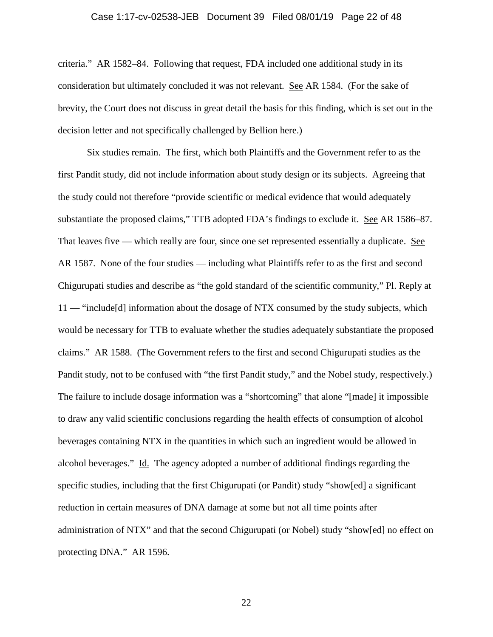# Case 1:17-cv-02538-JEB Document 39 Filed 08/01/19 Page 22 of 48

criteria." AR 1582–84. Following that request, FDA included one additional study in its consideration but ultimately concluded it was not relevant. See AR 1584. (For the sake of brevity, the Court does not discuss in great detail the basis for this finding, which is set out in the decision letter and not specifically challenged by Bellion here.)

Six studies remain. The first, which both Plaintiffs and the Government refer to as the first Pandit study, did not include information about study design or its subjects. Agreeing that the study could not therefore "provide scientific or medical evidence that would adequately substantiate the proposed claims," TTB adopted FDA's findings to exclude it. See AR 1586–87. That leaves five — which really are four, since one set represented essentially a duplicate. See AR 1587. None of the four studies — including what Plaintiffs refer to as the first and second Chigurupati studies and describe as "the gold standard of the scientific community," Pl. Reply at 11 — "include[d] information about the dosage of NTX consumed by the study subjects, which would be necessary for TTB to evaluate whether the studies adequately substantiate the proposed claims." AR 1588. (The Government refers to the first and second Chigurupati studies as the Pandit study, not to be confused with "the first Pandit study," and the Nobel study, respectively.) The failure to include dosage information was a "shortcoming" that alone "[made] it impossible to draw any valid scientific conclusions regarding the health effects of consumption of alcohol beverages containing NTX in the quantities in which such an ingredient would be allowed in alcohol beverages." Id. The agency adopted a number of additional findings regarding the specific studies, including that the first Chigurupati (or Pandit) study "show[ed] a significant reduction in certain measures of DNA damage at some but not all time points after administration of NTX" and that the second Chigurupati (or Nobel) study "show[ed] no effect on protecting DNA." AR 1596.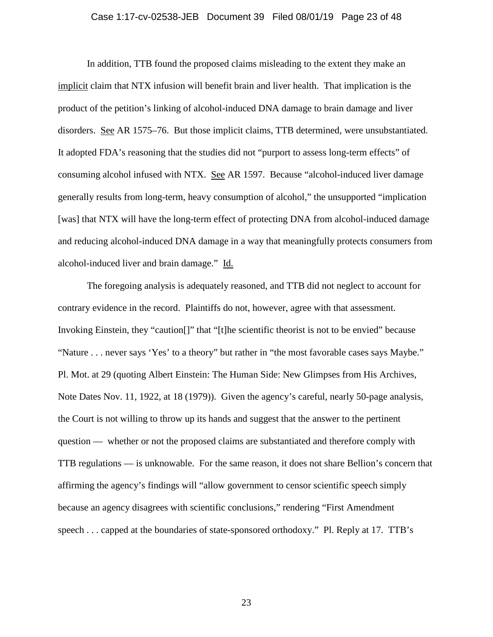#### Case 1:17-cv-02538-JEB Document 39 Filed 08/01/19 Page 23 of 48

In addition, TTB found the proposed claims misleading to the extent they make an implicit claim that NTX infusion will benefit brain and liver health. That implication is the product of the petition's linking of alcohol-induced DNA damage to brain damage and liver disorders. See AR 1575–76. But those implicit claims, TTB determined, were unsubstantiated. It adopted FDA's reasoning that the studies did not "purport to assess long-term effects" of consuming alcohol infused with NTX. See AR 1597. Because "alcohol-induced liver damage generally results from long-term, heavy consumption of alcohol," the unsupported "implication [was] that NTX will have the long-term effect of protecting DNA from alcohol-induced damage and reducing alcohol-induced DNA damage in a way that meaningfully protects consumers from alcohol-induced liver and brain damage." Id.

The foregoing analysis is adequately reasoned, and TTB did not neglect to account for contrary evidence in the record. Plaintiffs do not, however, agree with that assessment. Invoking Einstein, they "caution[]" that "[t]he scientific theorist is not to be envied" because "Nature . . . never says 'Yes' to a theory" but rather in "the most favorable cases says Maybe." Pl. Mot. at 29 (quoting Albert Einstein: The Human Side: New Glimpses from His Archives, Note Dates Nov. 11, 1922, at 18 (1979)). Given the agency's careful, nearly 50-page analysis, the Court is not willing to throw up its hands and suggest that the answer to the pertinent question — whether or not the proposed claims are substantiated and therefore comply with TTB regulations — is unknowable. For the same reason, it does not share Bellion's concern that affirming the agency's findings will "allow government to censor scientific speech simply because an agency disagrees with scientific conclusions," rendering "First Amendment speech . . . capped at the boundaries of state-sponsored orthodoxy." Pl. Reply at 17. TTB's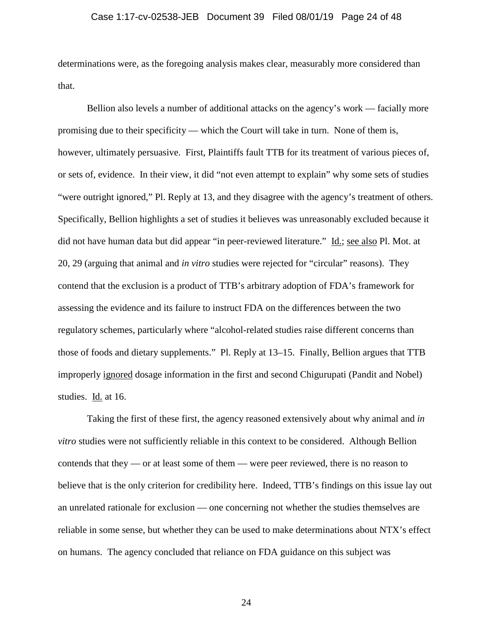### Case 1:17-cv-02538-JEB Document 39 Filed 08/01/19 Page 24 of 48

determinations were, as the foregoing analysis makes clear, measurably more considered than that.

Bellion also levels a number of additional attacks on the agency's work — facially more promising due to their specificity — which the Court will take in turn. None of them is, however, ultimately persuasive. First, Plaintiffs fault TTB for its treatment of various pieces of, or sets of, evidence. In their view, it did "not even attempt to explain" why some sets of studies "were outright ignored," Pl. Reply at 13, and they disagree with the agency's treatment of others. Specifically, Bellion highlights a set of studies it believes was unreasonably excluded because it did not have human data but did appear "in peer-reviewed literature." Id.; see also Pl. Mot. at 20, 29 (arguing that animal and *in vitro* studies were rejected for "circular" reasons). They contend that the exclusion is a product of TTB's arbitrary adoption of FDA's framework for assessing the evidence and its failure to instruct FDA on the differences between the two regulatory schemes, particularly where "alcohol-related studies raise different concerns than those of foods and dietary supplements." Pl. Reply at 13–15. Finally, Bellion argues that TTB improperly ignored dosage information in the first and second Chigurupati (Pandit and Nobel) studies. Id. at 16.

Taking the first of these first, the agency reasoned extensively about why animal and *in vitro* studies were not sufficiently reliable in this context to be considered. Although Bellion contends that they — or at least some of them — were peer reviewed, there is no reason to believe that is the only criterion for credibility here. Indeed, TTB's findings on this issue lay out an unrelated rationale for exclusion — one concerning not whether the studies themselves are reliable in some sense, but whether they can be used to make determinations about NTX's effect on humans. The agency concluded that reliance on FDA guidance on this subject was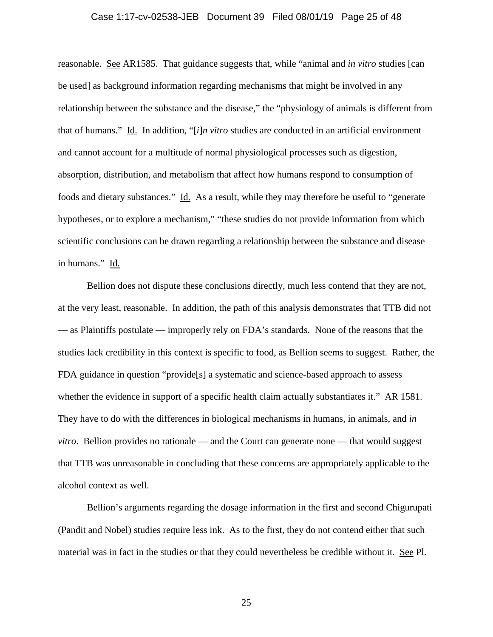### Case 1:17-cv-02538-JEB Document 39 Filed 08/01/19 Page 25 of 48

reasonable. See AR1585. That guidance suggests that, while "animal and *in vitro* studies [can be used] as background information regarding mechanisms that might be involved in any relationship between the substance and the disease," the "physiology of animals is different from that of humans." Id. In addition, "[*i*]*n vitro* studies are conducted in an artificial environment and cannot account for a multitude of normal physiological processes such as digestion, absorption, distribution, and metabolism that affect how humans respond to consumption of foods and dietary substances." Id. As a result, while they may therefore be useful to "generate hypotheses, or to explore a mechanism," "these studies do not provide information from which scientific conclusions can be drawn regarding a relationship between the substance and disease in humans." Id.

Bellion does not dispute these conclusions directly, much less contend that they are not, at the very least, reasonable. In addition, the path of this analysis demonstrates that TTB did not — as Plaintiffs postulate — improperly rely on FDA's standards. None of the reasons that the studies lack credibility in this context is specific to food, as Bellion seems to suggest. Rather, the FDA guidance in question "provide[s] a systematic and science-based approach to assess whether the evidence in support of a specific health claim actually substantiates it." AR 1581. They have to do with the differences in biological mechanisms in humans, in animals, and *in vitro*. Bellion provides no rationale — and the Court can generate none — that would suggest that TTB was unreasonable in concluding that these concerns are appropriately applicable to the alcohol context as well.

Bellion's arguments regarding the dosage information in the first and second Chigurupati (Pandit and Nobel) studies require less ink. As to the first, they do not contend either that such material was in fact in the studies or that they could nevertheless be credible without it. See Pl.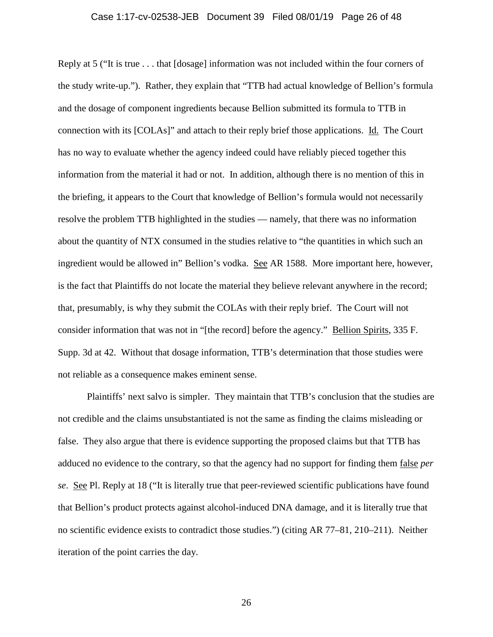# Case 1:17-cv-02538-JEB Document 39 Filed 08/01/19 Page 26 of 48

Reply at 5 ("It is true . . . that [dosage] information was not included within the four corners of the study write-up."). Rather, they explain that "TTB had actual knowledge of Bellion's formula and the dosage of component ingredients because Bellion submitted its formula to TTB in connection with its [COLAs]" and attach to their reply brief those applications. Id. The Court has no way to evaluate whether the agency indeed could have reliably pieced together this information from the material it had or not. In addition, although there is no mention of this in the briefing, it appears to the Court that knowledge of Bellion's formula would not necessarily resolve the problem TTB highlighted in the studies — namely, that there was no information about the quantity of NTX consumed in the studies relative to "the quantities in which such an ingredient would be allowed in" Bellion's vodka. See AR 1588. More important here, however, is the fact that Plaintiffs do not locate the material they believe relevant anywhere in the record; that, presumably, is why they submit the COLAs with their reply brief. The Court will not consider information that was not in "[the record] before the agency." Bellion Spirits, 335 F. Supp. 3d at 42. Without that dosage information, TTB's determination that those studies were not reliable as a consequence makes eminent sense.

Plaintiffs' next salvo is simpler. They maintain that TTB's conclusion that the studies are not credible and the claims unsubstantiated is not the same as finding the claims misleading or false. They also argue that there is evidence supporting the proposed claims but that TTB has adduced no evidence to the contrary, so that the agency had no support for finding them false *per se*. See Pl. Reply at 18 ("It is literally true that peer-reviewed scientific publications have found that Bellion's product protects against alcohol-induced DNA damage, and it is literally true that no scientific evidence exists to contradict those studies.") (citing AR 77–81, 210–211). Neither iteration of the point carries the day.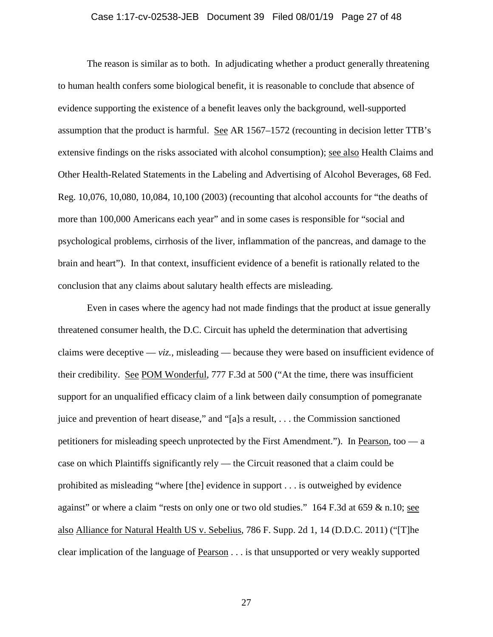### Case 1:17-cv-02538-JEB Document 39 Filed 08/01/19 Page 27 of 48

The reason is similar as to both. In adjudicating whether a product generally threatening to human health confers some biological benefit, it is reasonable to conclude that absence of evidence supporting the existence of a benefit leaves only the background, well-supported assumption that the product is harmful. See AR 1567–1572 (recounting in decision letter TTB's extensive findings on the risks associated with alcohol consumption); see also Health Claims and Other Health-Related Statements in the Labeling and Advertising of Alcohol Beverages, 68 Fed. Reg. 10,076, 10,080, 10,084, 10,100 (2003) (recounting that alcohol accounts for "the deaths of more than 100,000 Americans each year" and in some cases is responsible for "social and psychological problems, cirrhosis of the liver, inflammation of the pancreas, and damage to the brain and heart"). In that context, insufficient evidence of a benefit is rationally related to the conclusion that any claims about salutary health effects are misleading.

Even in cases where the agency had not made findings that the product at issue generally threatened consumer health, the D.C. Circuit has upheld the determination that advertising claims were deceptive —  $viz.$ , misleading — because they were based on insufficient evidence of their credibility. See POM Wonderful, 777 F.3d at 500 ("At the time, there was insufficient support for an unqualified efficacy claim of a link between daily consumption of pomegranate juice and prevention of heart disease," and "[a]s a result, . . . the Commission sanctioned petitioners for misleading speech unprotected by the First Amendment."). In Pearson, too — a case on which Plaintiffs significantly rely — the Circuit reasoned that a claim could be prohibited as misleading "where [the] evidence in support . . . is outweighed by evidence against" or where a claim "rests on only one or two old studies."  $164$  F.3d at 659 & n.10; see also Alliance for Natural Health US v. Sebelius, 786 F. Supp. 2d 1, 14 (D.D.C. 2011) ("[T]he clear implication of the language of Pearson . . . is that unsupported or very weakly supported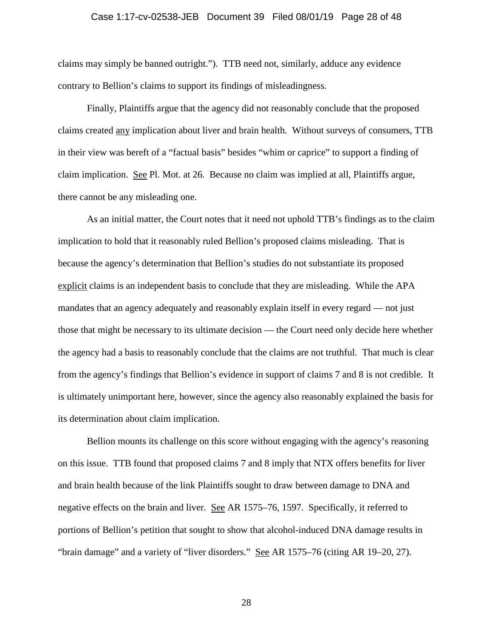### Case 1:17-cv-02538-JEB Document 39 Filed 08/01/19 Page 28 of 48

claims may simply be banned outright."). TTB need not, similarly, adduce any evidence contrary to Bellion's claims to support its findings of misleadingness.

Finally, Plaintiffs argue that the agency did not reasonably conclude that the proposed claims created any implication about liver and brain health. Without surveys of consumers, TTB in their view was bereft of a "factual basis" besides "whim or caprice" to support a finding of claim implication. See Pl. Mot. at 26. Because no claim was implied at all, Plaintiffs argue, there cannot be any misleading one.

As an initial matter, the Court notes that it need not uphold TTB's findings as to the claim implication to hold that it reasonably ruled Bellion's proposed claims misleading. That is because the agency's determination that Bellion's studies do not substantiate its proposed explicit claims is an independent basis to conclude that they are misleading. While the APA mandates that an agency adequately and reasonably explain itself in every regard — not just those that might be necessary to its ultimate decision — the Court need only decide here whether the agency had a basis to reasonably conclude that the claims are not truthful. That much is clear from the agency's findings that Bellion's evidence in support of claims 7 and 8 is not credible. It is ultimately unimportant here, however, since the agency also reasonably explained the basis for its determination about claim implication.

Bellion mounts its challenge on this score without engaging with the agency's reasoning on this issue. TTB found that proposed claims 7 and 8 imply that NTX offers benefits for liver and brain health because of the link Plaintiffs sought to draw between damage to DNA and negative effects on the brain and liver. See AR 1575–76, 1597. Specifically, it referred to portions of Bellion's petition that sought to show that alcohol-induced DNA damage results in "brain damage" and a variety of "liver disorders." See AR 1575–76 (citing AR 19–20, 27).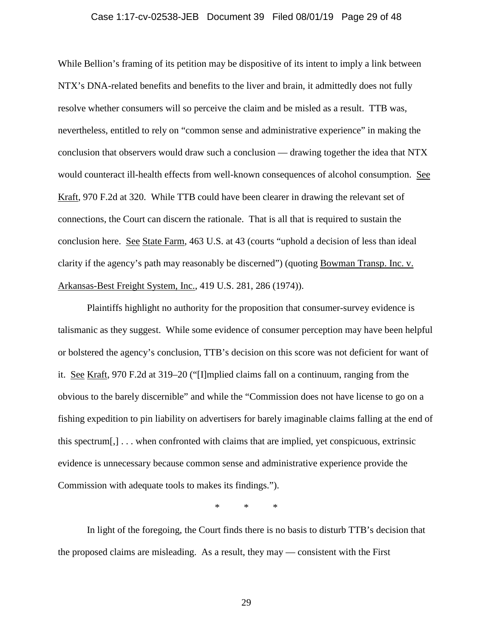# Case 1:17-cv-02538-JEB Document 39 Filed 08/01/19 Page 29 of 48

While Bellion's framing of its petition may be dispositive of its intent to imply a link between NTX's DNA-related benefits and benefits to the liver and brain, it admittedly does not fully resolve whether consumers will so perceive the claim and be misled as a result. TTB was, nevertheless, entitled to rely on "common sense and administrative experience" in making the conclusion that observers would draw such a conclusion — drawing together the idea that NTX would counteract ill-health effects from well-known consequences of alcohol consumption. See Kraft, 970 F.2d at 320. While TTB could have been clearer in drawing the relevant set of connections, the Court can discern the rationale. That is all that is required to sustain the conclusion here. See State Farm, 463 U.S. at 43 (courts "uphold a decision of less than ideal clarity if the agency's path may reasonably be discerned") (quoting Bowman Transp. Inc. v. Arkansas-Best Freight System, Inc., 419 U.S. 281, 286 (1974)).

Plaintiffs highlight no authority for the proposition that consumer-survey evidence is talismanic as they suggest. While some evidence of consumer perception may have been helpful or bolstered the agency's conclusion, TTB's decision on this score was not deficient for want of it. See Kraft, 970 F.2d at 319–20 ("[I]mplied claims fall on a continuum, ranging from the obvious to the barely discernible" and while the "Commission does not have license to go on a fishing expedition to pin liability on advertisers for barely imaginable claims falling at the end of this spectrum[,] . . . when confronted with claims that are implied, yet conspicuous, extrinsic evidence is unnecessary because common sense and administrative experience provide the Commission with adequate tools to makes its findings.").

\* \* \*

In light of the foregoing, the Court finds there is no basis to disturb TTB's decision that the proposed claims are misleading. As a result, they may — consistent with the First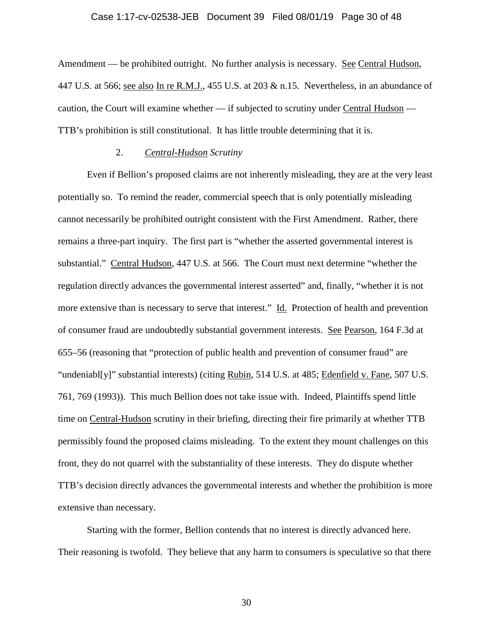# Case 1:17-cv-02538-JEB Document 39 Filed 08/01/19 Page 30 of 48

Amendment — be prohibited outright. No further analysis is necessary. See Central Hudson, 447 U.S. at 566; see also In re R.M.J., 455 U.S. at 203 & n.15. Nevertheless, in an abundance of caution, the Court will examine whether — if subjected to scrutiny under Central Hudson — TTB's prohibition is still constitutional. It has little trouble determining that it is.

### 2. *Central-Hudson Scrutiny*

Even if Bellion's proposed claims are not inherently misleading, they are at the very least potentially so. To remind the reader, commercial speech that is only potentially misleading cannot necessarily be prohibited outright consistent with the First Amendment. Rather, there remains a three-part inquiry. The first part is "whether the asserted governmental interest is substantial." Central Hudson, 447 U.S. at 566. The Court must next determine "whether the regulation directly advances the governmental interest asserted" and, finally, "whether it is not more extensive than is necessary to serve that interest." Id. Protection of health and prevention of consumer fraud are undoubtedly substantial government interests. See Pearson, 164 F.3d at 655–56 (reasoning that "protection of public health and prevention of consumer fraud" are "undeniabl[y]" substantial interests) (citing Rubin, 514 U.S. at 485; Edenfield v. Fane, 507 U.S. 761, 769 (1993)). This much Bellion does not take issue with. Indeed, Plaintiffs spend little time on Central-Hudson scrutiny in their briefing, directing their fire primarily at whether TTB permissibly found the proposed claims misleading. To the extent they mount challenges on this front, they do not quarrel with the substantiality of these interests. They do dispute whether TTB's decision directly advances the governmental interests and whether the prohibition is more extensive than necessary.

Starting with the former, Bellion contends that no interest is directly advanced here. Their reasoning is twofold. They believe that any harm to consumers is speculative so that there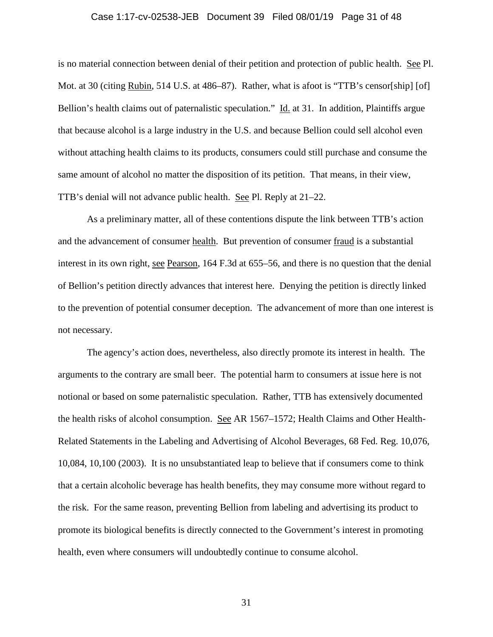#### Case 1:17-cv-02538-JEB Document 39 Filed 08/01/19 Page 31 of 48

is no material connection between denial of their petition and protection of public health. See Pl. Mot. at 30 (citing Rubin, 514 U.S. at 486–87). Rather, what is afoot is "TTB's censor[ship] [of] Bellion's health claims out of paternalistic speculation." Id. at 31. In addition, Plaintiffs argue that because alcohol is a large industry in the U.S. and because Bellion could sell alcohol even without attaching health claims to its products, consumers could still purchase and consume the same amount of alcohol no matter the disposition of its petition. That means, in their view, TTB's denial will not advance public health. See Pl. Reply at 21–22.

As a preliminary matter, all of these contentions dispute the link between TTB's action and the advancement of consumer health. But prevention of consumer fraud is a substantial interest in its own right, see Pearson, 164 F.3d at 655–56, and there is no question that the denial of Bellion's petition directly advances that interest here. Denying the petition is directly linked to the prevention of potential consumer deception. The advancement of more than one interest is not necessary.

The agency's action does, nevertheless, also directly promote its interest in health. The arguments to the contrary are small beer. The potential harm to consumers at issue here is not notional or based on some paternalistic speculation. Rather, TTB has extensively documented the health risks of alcohol consumption. See AR 1567–1572; Health Claims and Other Health-Related Statements in the Labeling and Advertising of Alcohol Beverages, 68 Fed. Reg. 10,076, 10,084, 10,100 (2003). It is no unsubstantiated leap to believe that if consumers come to think that a certain alcoholic beverage has health benefits, they may consume more without regard to the risk. For the same reason, preventing Bellion from labeling and advertising its product to promote its biological benefits is directly connected to the Government's interest in promoting health, even where consumers will undoubtedly continue to consume alcohol.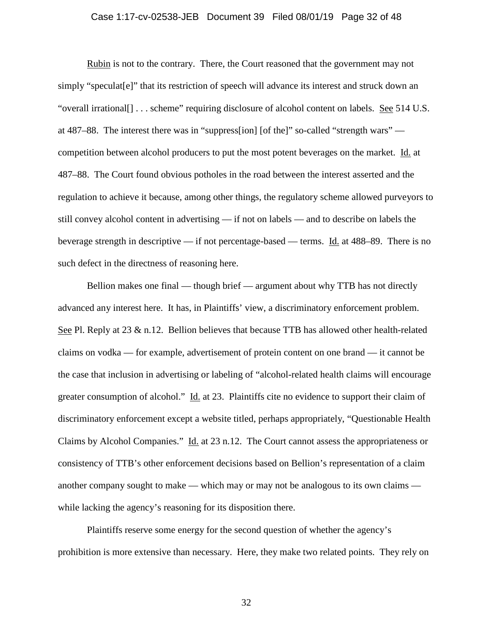### Case 1:17-cv-02538-JEB Document 39 Filed 08/01/19 Page 32 of 48

Rubin is not to the contrary. There, the Court reasoned that the government may not simply "speculat[e]" that its restriction of speech will advance its interest and struck down an "overall irrational[] . . . scheme" requiring disclosure of alcohol content on labels. See 514 U.S. at 487–88. The interest there was in "suppress[ion] [of the]" so-called "strength wars" competition between alcohol producers to put the most potent beverages on the market. Id. at 487–88. The Court found obvious potholes in the road between the interest asserted and the regulation to achieve it because, among other things, the regulatory scheme allowed purveyors to still convey alcohol content in advertising — if not on labels — and to describe on labels the beverage strength in descriptive — if not percentage-based — terms. Id. at 488–89. There is no such defect in the directness of reasoning here.

Bellion makes one final — though brief — argument about why TTB has not directly advanced any interest here. It has, in Plaintiffs' view, a discriminatory enforcement problem. See Pl. Reply at 23 & n.12. Bellion believes that because TTB has allowed other health-related claims on vodka — for example, advertisement of protein content on one brand — it cannot be the case that inclusion in advertising or labeling of "alcohol-related health claims will encourage greater consumption of alcohol." Id. at 23. Plaintiffs cite no evidence to support their claim of discriminatory enforcement except a website titled, perhaps appropriately, "Questionable Health Claims by Alcohol Companies." Id. at 23 n.12. The Court cannot assess the appropriateness or consistency of TTB's other enforcement decisions based on Bellion's representation of a claim another company sought to make — which may or may not be analogous to its own claims while lacking the agency's reasoning for its disposition there.

Plaintiffs reserve some energy for the second question of whether the agency's prohibition is more extensive than necessary. Here, they make two related points. They rely on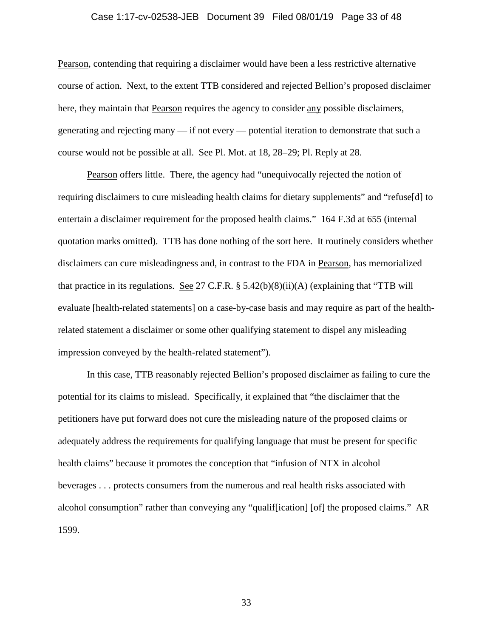### Case 1:17-cv-02538-JEB Document 39 Filed 08/01/19 Page 33 of 48

Pearson, contending that requiring a disclaimer would have been a less restrictive alternative course of action. Next, to the extent TTB considered and rejected Bellion's proposed disclaimer here, they maintain that Pearson requires the agency to consider any possible disclaimers, generating and rejecting many — if not every — potential iteration to demonstrate that such a course would not be possible at all. See Pl. Mot. at 18, 28–29; Pl. Reply at 28.

Pearson offers little. There, the agency had "unequivocally rejected the notion of requiring disclaimers to cure misleading health claims for dietary supplements" and "refuse[d] to entertain a disclaimer requirement for the proposed health claims." 164 F.3d at 655 (internal quotation marks omitted). TTB has done nothing of the sort here. It routinely considers whether disclaimers can cure misleadingness and, in contrast to the FDA in Pearson, has memorialized that practice in its regulations. See 27 C.F.R.  $\S$  5.42(b)(8)(ii)(A) (explaining that "TTB will evaluate [health-related statements] on a case-by-case basis and may require as part of the healthrelated statement a disclaimer or some other qualifying statement to dispel any misleading impression conveyed by the health-related statement").

In this case, TTB reasonably rejected Bellion's proposed disclaimer as failing to cure the potential for its claims to mislead. Specifically, it explained that "the disclaimer that the petitioners have put forward does not cure the misleading nature of the proposed claims or adequately address the requirements for qualifying language that must be present for specific health claims" because it promotes the conception that "infusion of NTX in alcohol beverages . . . protects consumers from the numerous and real health risks associated with alcohol consumption" rather than conveying any "qualif[ication] [of] the proposed claims." AR 1599.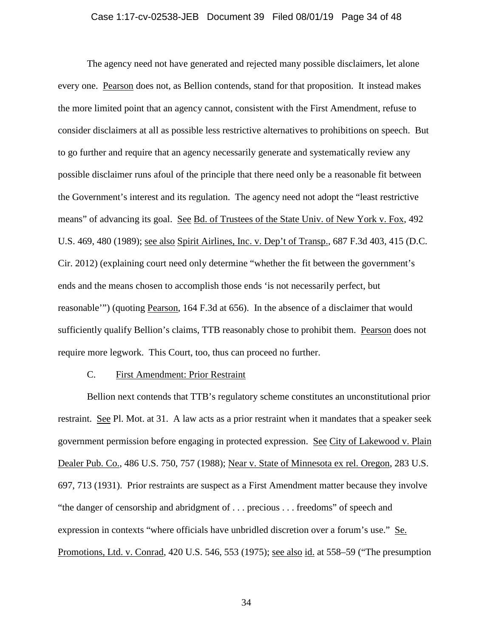# Case 1:17-cv-02538-JEB Document 39 Filed 08/01/19 Page 34 of 48

The agency need not have generated and rejected many possible disclaimers, let alone every one. Pearson does not, as Bellion contends, stand for that proposition. It instead makes the more limited point that an agency cannot, consistent with the First Amendment, refuse to consider disclaimers at all as possible less restrictive alternatives to prohibitions on speech. But to go further and require that an agency necessarily generate and systematically review any possible disclaimer runs afoul of the principle that there need only be a reasonable fit between the Government's interest and its regulation. The agency need not adopt the "least restrictive means" of advancing its goal. See Bd. of Trustees of the State Univ. of New York v. Fox, 492 U.S. 469, 480 (1989); see also Spirit Airlines, Inc. v. Dep't of Transp., 687 F.3d 403, 415 (D.C. Cir. 2012) (explaining court need only determine "whether the fit between the government's ends and the means chosen to accomplish those ends 'is not necessarily perfect, but reasonable'") (quoting Pearson, 164 F.3d at 656). In the absence of a disclaimer that would sufficiently qualify Bellion's claims, TTB reasonably chose to prohibit them. Pearson does not require more legwork. This Court, too, thus can proceed no further.

### C. First Amendment: Prior Restraint

Bellion next contends that TTB's regulatory scheme constitutes an unconstitutional prior restraint. See Pl. Mot. at 31. A law acts as a prior restraint when it mandates that a speaker seek government permission before engaging in protected expression. See City of Lakewood v. Plain Dealer Pub. Co., 486 U.S. 750, 757 (1988); Near v. State of Minnesota ex rel. Oregon, 283 U.S. 697, 713 (1931). Prior restraints are suspect as a First Amendment matter because they involve "the danger of censorship and abridgment of . . . precious . . . freedoms" of speech and expression in contexts "where officials have unbridled discretion over a forum's use." Se. Promotions, Ltd. v. Conrad, 420 U.S. 546, 553 (1975); see also id. at 558–59 ("The presumption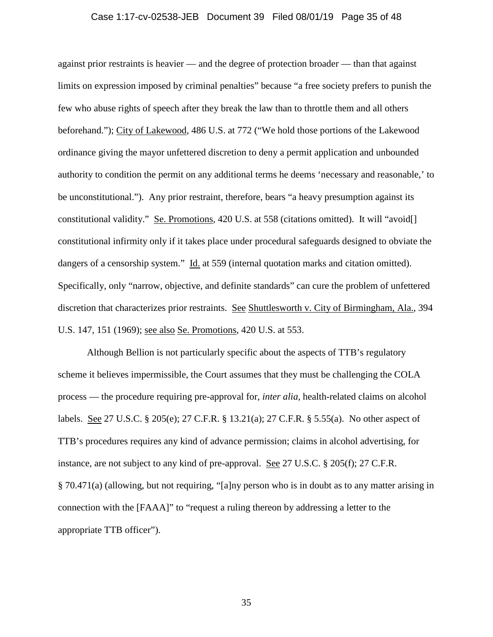### Case 1:17-cv-02538-JEB Document 39 Filed 08/01/19 Page 35 of 48

against prior restraints is heavier — and the degree of protection broader — than that against limits on expression imposed by criminal penalties" because "a free society prefers to punish the few who abuse rights of speech after they break the law than to throttle them and all others beforehand."); City of Lakewood, 486 U.S. at 772 ("We hold those portions of the Lakewood ordinance giving the mayor unfettered discretion to deny a permit application and unbounded authority to condition the permit on any additional terms he deems 'necessary and reasonable,' to be unconstitutional."). Any prior restraint, therefore, bears "a heavy presumption against its constitutional validity." Se. Promotions, 420 U.S. at 558 (citations omitted). It will "avoid[] constitutional infirmity only if it takes place under procedural safeguards designed to obviate the dangers of a censorship system." Id. at 559 (internal quotation marks and citation omitted). Specifically, only "narrow, objective, and definite standards" can cure the problem of unfettered discretion that characterizes prior restraints. See Shuttlesworth v. City of Birmingham, Ala., 394 U.S. 147, 151 (1969); see also Se. Promotions, 420 U.S. at 553.

Although Bellion is not particularly specific about the aspects of TTB's regulatory scheme it believes impermissible, the Court assumes that they must be challenging the COLA process — the procedure requiring pre-approval for, *inter alia*, health-related claims on alcohol labels. See 27 U.S.C. § 205(e); 27 C.F.R. § 13.21(a); 27 C.F.R. § 5.55(a). No other aspect of TTB's procedures requires any kind of advance permission; claims in alcohol advertising, for instance, are not subject to any kind of pre-approval. See 27 U.S.C. § 205(f); 27 C.F.R. § 70.471(a) (allowing, but not requiring, "[a]ny person who is in doubt as to any matter arising in connection with the [FAAA]" to "request a ruling thereon by addressing a letter to the appropriate TTB officer").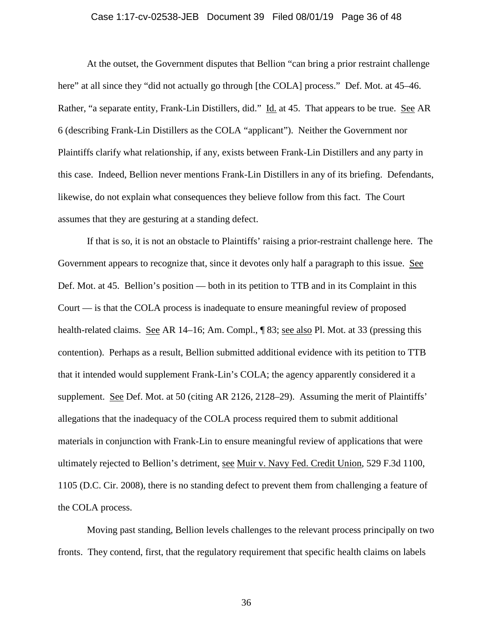# Case 1:17-cv-02538-JEB Document 39 Filed 08/01/19 Page 36 of 48

At the outset, the Government disputes that Bellion "can bring a prior restraint challenge here" at all since they "did not actually go through [the COLA] process." Def. Mot. at 45–46. Rather, "a separate entity, Frank-Lin Distillers, did." Id. at 45. That appears to be true. See AR 6 (describing Frank-Lin Distillers as the COLA "applicant"). Neither the Government nor Plaintiffs clarify what relationship, if any, exists between Frank-Lin Distillers and any party in this case. Indeed, Bellion never mentions Frank-Lin Distillers in any of its briefing. Defendants, likewise, do not explain what consequences they believe follow from this fact. The Court assumes that they are gesturing at a standing defect.

If that is so, it is not an obstacle to Plaintiffs' raising a prior-restraint challenge here. The Government appears to recognize that, since it devotes only half a paragraph to this issue. See Def. Mot. at 45. Bellion's position — both in its petition to TTB and in its Complaint in this Court — is that the COLA process is inadequate to ensure meaningful review of proposed health-related claims. See AR 14–16; Am. Compl., 183; see also Pl. Mot. at 33 (pressing this contention). Perhaps as a result, Bellion submitted additional evidence with its petition to TTB that it intended would supplement Frank-Lin's COLA; the agency apparently considered it a supplement. See Def. Mot. at 50 (citing AR 2126, 2128–29). Assuming the merit of Plaintiffs' allegations that the inadequacy of the COLA process required them to submit additional materials in conjunction with Frank-Lin to ensure meaningful review of applications that were ultimately rejected to Bellion's detriment, see Muir v. Navy Fed. Credit Union, 529 F.3d 1100, 1105 (D.C. Cir. 2008), there is no standing defect to prevent them from challenging a feature of the COLA process.

Moving past standing, Bellion levels challenges to the relevant process principally on two fronts. They contend, first, that the regulatory requirement that specific health claims on labels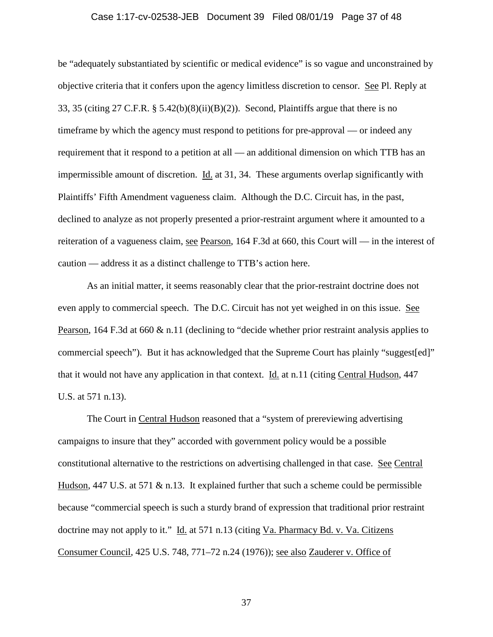### Case 1:17-cv-02538-JEB Document 39 Filed 08/01/19 Page 37 of 48

be "adequately substantiated by scientific or medical evidence" is so vague and unconstrained by objective criteria that it confers upon the agency limitless discretion to censor. See Pl. Reply at 33, 35 (citing 27 C.F.R. § 5.42(b)(8)(ii)(B)(2)). Second, Plaintiffs argue that there is no timeframe by which the agency must respond to petitions for pre-approval — or indeed any requirement that it respond to a petition at all — an additional dimension on which TTB has an impermissible amount of discretion. Id. at 31, 34. These arguments overlap significantly with Plaintiffs' Fifth Amendment vagueness claim. Although the D.C. Circuit has, in the past, declined to analyze as not properly presented a prior-restraint argument where it amounted to a reiteration of a vagueness claim, see Pearson, 164 F.3d at 660, this Court will — in the interest of caution — address it as a distinct challenge to TTB's action here.

As an initial matter, it seems reasonably clear that the prior-restraint doctrine does not even apply to commercial speech. The D.C. Circuit has not yet weighed in on this issue. See Pearson, 164 F.3d at 660 & n.11 (declining to "decide whether prior restraint analysis applies to commercial speech"). But it has acknowledged that the Supreme Court has plainly "suggest[ed]" that it would not have any application in that context. **Id.** at n.11 (citing Central Hudson, 447 U.S. at 571 n.13).

The Court in Central Hudson reasoned that a "system of prereviewing advertising campaigns to insure that they" accorded with government policy would be a possible constitutional alternative to the restrictions on advertising challenged in that case. See Central Hudson, 447 U.S. at 571  $\&$  n.13. It explained further that such a scheme could be permissible because "commercial speech is such a sturdy brand of expression that traditional prior restraint doctrine may not apply to it." Id. at 571 n.13 (citing Va. Pharmacy Bd. v. Va. Citizens Consumer Council, 425 U.S. 748, 771–72 n.24 (1976)); see also Zauderer v. Office of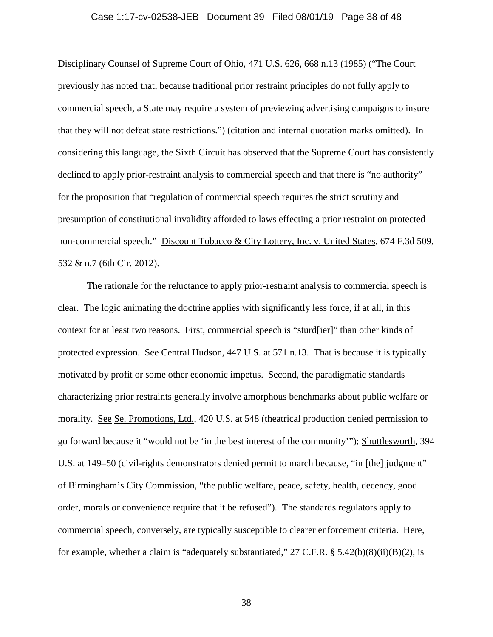# Case 1:17-cv-02538-JEB Document 39 Filed 08/01/19 Page 38 of 48

Disciplinary Counsel of Supreme Court of Ohio, 471 U.S. 626, 668 n.13 (1985) ("The Court previously has noted that, because traditional prior restraint principles do not fully apply to commercial speech, a State may require a system of previewing advertising campaigns to insure that they will not defeat state restrictions.") (citation and internal quotation marks omitted). In considering this language, the Sixth Circuit has observed that the Supreme Court has consistently declined to apply prior-restraint analysis to commercial speech and that there is "no authority" for the proposition that "regulation of commercial speech requires the strict scrutiny and presumption of constitutional invalidity afforded to laws effecting a prior restraint on protected non-commercial speech." Discount Tobacco & City Lottery, Inc. v. United States, 674 F.3d 509, 532 & n.7 (6th Cir. 2012).

The rationale for the reluctance to apply prior-restraint analysis to commercial speech is clear. The logic animating the doctrine applies with significantly less force, if at all, in this context for at least two reasons. First, commercial speech is "sturd[ier]" than other kinds of protected expression. See Central Hudson, 447 U.S. at 571 n.13. That is because it is typically motivated by profit or some other economic impetus. Second, the paradigmatic standards characterizing prior restraints generally involve amorphous benchmarks about public welfare or morality. See Se. Promotions, Ltd., 420 U.S. at 548 (theatrical production denied permission to go forward because it "would not be 'in the best interest of the community'"); Shuttlesworth, 394 U.S. at 149–50 (civil-rights demonstrators denied permit to march because, "in [the] judgment" of Birmingham's City Commission, "the public welfare, peace, safety, health, decency, good order, morals or convenience require that it be refused"). The standards regulators apply to commercial speech, conversely, are typically susceptible to clearer enforcement criteria. Here, for example, whether a claim is "adequately substantiated,"  $27$  C.F.R. §  $5.42(b)(8)(ii)(B)(2)$ , is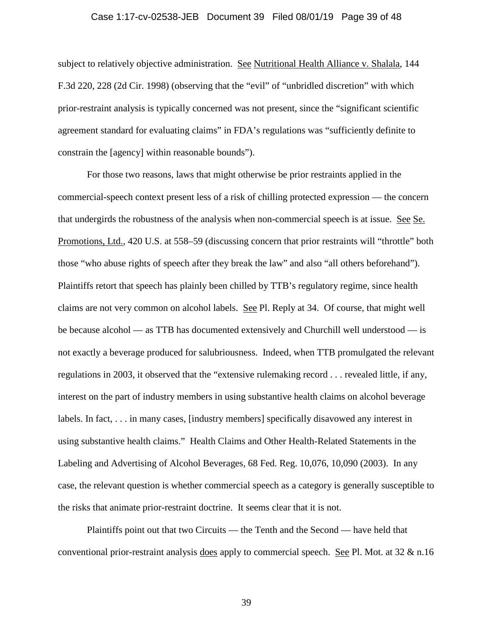### Case 1:17-cv-02538-JEB Document 39 Filed 08/01/19 Page 39 of 48

subject to relatively objective administration. See Nutritional Health Alliance v. Shalala, 144 F.3d 220, 228 (2d Cir. 1998) (observing that the "evil" of "unbridled discretion" with which prior-restraint analysis is typically concerned was not present, since the "significant scientific agreement standard for evaluating claims" in FDA's regulations was "sufficiently definite to constrain the [agency] within reasonable bounds").

For those two reasons, laws that might otherwise be prior restraints applied in the commercial-speech context present less of a risk of chilling protected expression — the concern that undergirds the robustness of the analysis when non-commercial speech is at issue. See Se. Promotions, Ltd., 420 U.S. at 558–59 (discussing concern that prior restraints will "throttle" both those "who abuse rights of speech after they break the law" and also "all others beforehand"). Plaintiffs retort that speech has plainly been chilled by TTB's regulatory regime, since health claims are not very common on alcohol labels. See Pl. Reply at 34. Of course, that might well be because alcohol — as TTB has documented extensively and Churchill well understood — is not exactly a beverage produced for salubriousness. Indeed, when TTB promulgated the relevant regulations in 2003, it observed that the "extensive rulemaking record . . . revealed little, if any, interest on the part of industry members in using substantive health claims on alcohol beverage labels. In fact, . . . in many cases, [industry members] specifically disavowed any interest in using substantive health claims." Health Claims and Other Health-Related Statements in the Labeling and Advertising of Alcohol Beverages, 68 Fed. Reg. 10,076, 10,090 (2003). In any case, the relevant question is whether commercial speech as a category is generally susceptible to the risks that animate prior-restraint doctrine. It seems clear that it is not.

Plaintiffs point out that two Circuits — the Tenth and the Second — have held that conventional prior-restraint analysis does apply to commercial speech. See Pl. Mot. at  $32 \& n.16$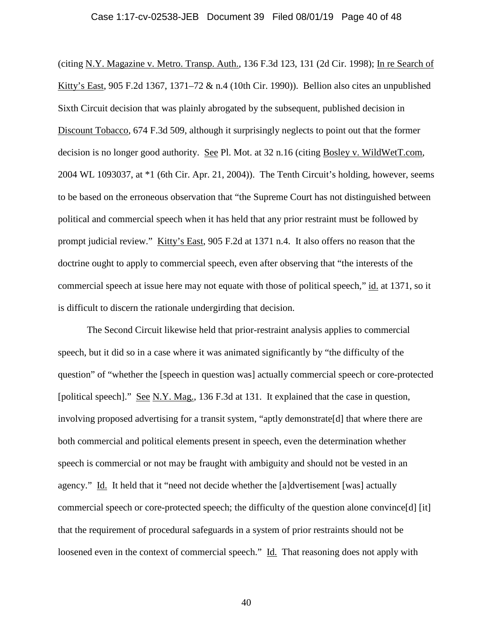#### Case 1:17-cv-02538-JEB Document 39 Filed 08/01/19 Page 40 of 48

(citing N.Y. Magazine v. Metro. Transp. Auth., 136 F.3d 123, 131 (2d Cir. 1998); In re Search of Kitty's East, 905 F.2d 1367, 1371–72 & n.4 (10th Cir. 1990)). Bellion also cites an unpublished Sixth Circuit decision that was plainly abrogated by the subsequent, published decision in Discount Tobacco, 674 F.3d 509, although it surprisingly neglects to point out that the former decision is no longer good authority. See Pl. Mot. at 32 n.16 (citing Bosley v. WildWetT.com, 2004 WL 1093037, at \*1 (6th Cir. Apr. 21, 2004)). The Tenth Circuit's holding, however, seems to be based on the erroneous observation that "the Supreme Court has not distinguished between political and commercial speech when it has held that any prior restraint must be followed by prompt judicial review." Kitty's East, 905 F.2d at 1371 n.4. It also offers no reason that the doctrine ought to apply to commercial speech, even after observing that "the interests of the commercial speech at issue here may not equate with those of political speech," id. at 1371, so it is difficult to discern the rationale undergirding that decision.

The Second Circuit likewise held that prior-restraint analysis applies to commercial speech, but it did so in a case where it was animated significantly by "the difficulty of the question" of "whether the [speech in question was] actually commercial speech or core-protected [political speech]." See N.Y. Mag., 136 F.3d at 131. It explained that the case in question, involving proposed advertising for a transit system, "aptly demonstrate[d] that where there are both commercial and political elements present in speech, even the determination whether speech is commercial or not may be fraught with ambiguity and should not be vested in an agency." Id. It held that it "need not decide whether the [a]dvertisement [was] actually commercial speech or core-protected speech; the difficulty of the question alone convince[d] [it] that the requirement of procedural safeguards in a system of prior restraints should not be loosened even in the context of commercial speech." Id. That reasoning does not apply with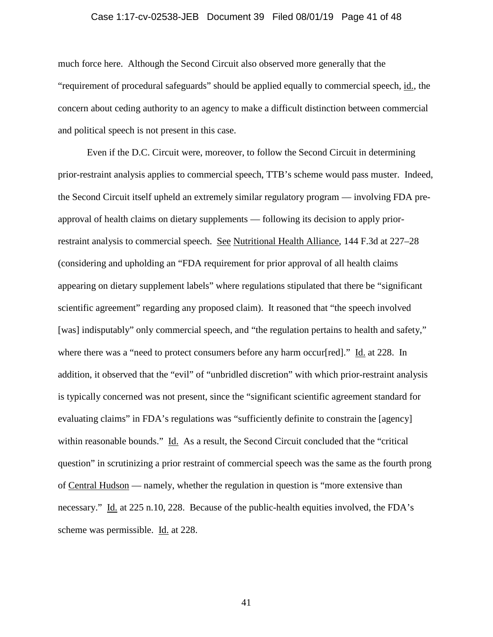# Case 1:17-cv-02538-JEB Document 39 Filed 08/01/19 Page 41 of 48

much force here. Although the Second Circuit also observed more generally that the "requirement of procedural safeguards" should be applied equally to commercial speech, id., the concern about ceding authority to an agency to make a difficult distinction between commercial and political speech is not present in this case.

Even if the D.C. Circuit were, moreover, to follow the Second Circuit in determining prior-restraint analysis applies to commercial speech, TTB's scheme would pass muster. Indeed, the Second Circuit itself upheld an extremely similar regulatory program — involving FDA preapproval of health claims on dietary supplements — following its decision to apply priorrestraint analysis to commercial speech. See Nutritional Health Alliance, 144 F.3d at 227–28 (considering and upholding an "FDA requirement for prior approval of all health claims appearing on dietary supplement labels" where regulations stipulated that there be "significant scientific agreement" regarding any proposed claim). It reasoned that "the speech involved [was] indisputably" only commercial speech, and "the regulation pertains to health and safety," where there was a "need to protect consumers before any harm occur[red]." Id. at 228. In addition, it observed that the "evil" of "unbridled discretion" with which prior-restraint analysis is typically concerned was not present, since the "significant scientific agreement standard for evaluating claims" in FDA's regulations was "sufficiently definite to constrain the [agency] within reasonable bounds." Id. As a result, the Second Circuit concluded that the "critical question" in scrutinizing a prior restraint of commercial speech was the same as the fourth prong of Central Hudson — namely, whether the regulation in question is "more extensive than necessary." Id. at 225 n.10, 228. Because of the public-health equities involved, the FDA's scheme was permissible. Id. at 228.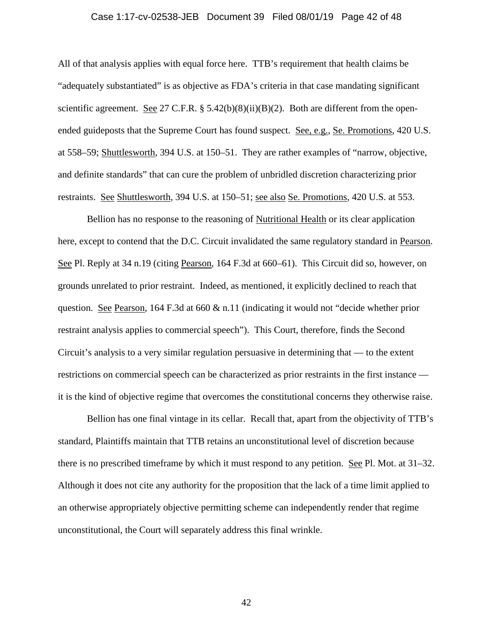# Case 1:17-cv-02538-JEB Document 39 Filed 08/01/19 Page 42 of 48

All of that analysis applies with equal force here. TTB's requirement that health claims be "adequately substantiated" is as objective as FDA's criteria in that case mandating significant scientific agreement. See 27 C.F.R.  $\S$  5.42(b)(8)(ii)(B)(2). Both are different from the openended guideposts that the Supreme Court has found suspect. See, e.g., Se. Promotions, 420 U.S. at 558–59; Shuttlesworth, 394 U.S. at 150–51. They are rather examples of "narrow, objective, and definite standards" that can cure the problem of unbridled discretion characterizing prior restraints. See Shuttlesworth, 394 U.S. at 150–51; see also Se. Promotions, 420 U.S. at 553.

Bellion has no response to the reasoning of Nutritional Health or its clear application here, except to contend that the D.C. Circuit invalidated the same regulatory standard in Pearson. See Pl. Reply at 34 n.19 (citing Pearson, 164 F.3d at 660–61). This Circuit did so, however, on grounds unrelated to prior restraint. Indeed, as mentioned, it explicitly declined to reach that question. See Pearson, 164 F.3d at 660  $\&$  n.11 (indicating it would not "decide whether prior restraint analysis applies to commercial speech"). This Court, therefore, finds the Second Circuit's analysis to a very similar regulation persuasive in determining that — to the extent restrictions on commercial speech can be characterized as prior restraints in the first instance it is the kind of objective regime that overcomes the constitutional concerns they otherwise raise.

Bellion has one final vintage in its cellar. Recall that, apart from the objectivity of TTB's standard, Plaintiffs maintain that TTB retains an unconstitutional level of discretion because there is no prescribed timeframe by which it must respond to any petition. See Pl. Mot. at 31–32. Although it does not cite any authority for the proposition that the lack of a time limit applied to an otherwise appropriately objective permitting scheme can independently render that regime unconstitutional, the Court will separately address this final wrinkle.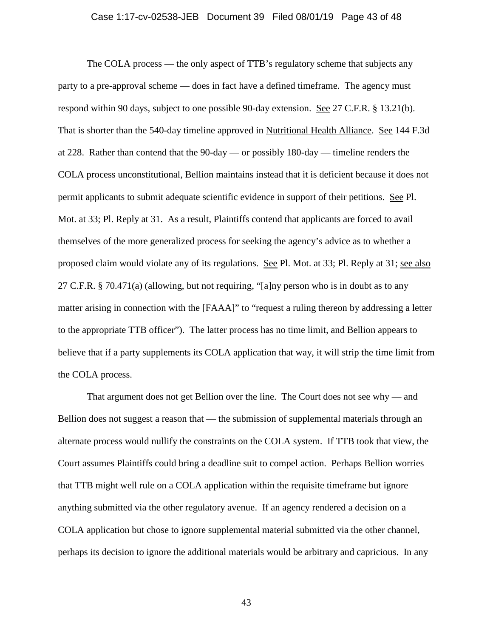# Case 1:17-cv-02538-JEB Document 39 Filed 08/01/19 Page 43 of 48

The COLA process — the only aspect of TTB's regulatory scheme that subjects any party to a pre-approval scheme — does in fact have a defined timeframe. The agency must respond within 90 days, subject to one possible 90-day extension. See 27 C.F.R. § 13.21(b). That is shorter than the 540-day timeline approved in Nutritional Health Alliance. See 144 F.3d at 228. Rather than contend that the 90-day — or possibly 180-day — timeline renders the COLA process unconstitutional, Bellion maintains instead that it is deficient because it does not permit applicants to submit adequate scientific evidence in support of their petitions. See Pl. Mot. at 33; Pl. Reply at 31. As a result, Plaintiffs contend that applicants are forced to avail themselves of the more generalized process for seeking the agency's advice as to whether a proposed claim would violate any of its regulations. See Pl. Mot. at 33; Pl. Reply at 31; see also 27 C.F.R. § 70.471(a) (allowing, but not requiring, "[a]ny person who is in doubt as to any matter arising in connection with the [FAAA]" to "request a ruling thereon by addressing a letter to the appropriate TTB officer"). The latter process has no time limit, and Bellion appears to believe that if a party supplements its COLA application that way, it will strip the time limit from the COLA process.

That argument does not get Bellion over the line. The Court does not see why — and Bellion does not suggest a reason that — the submission of supplemental materials through an alternate process would nullify the constraints on the COLA system. If TTB took that view, the Court assumes Plaintiffs could bring a deadline suit to compel action. Perhaps Bellion worries that TTB might well rule on a COLA application within the requisite timeframe but ignore anything submitted via the other regulatory avenue. If an agency rendered a decision on a COLA application but chose to ignore supplemental material submitted via the other channel, perhaps its decision to ignore the additional materials would be arbitrary and capricious. In any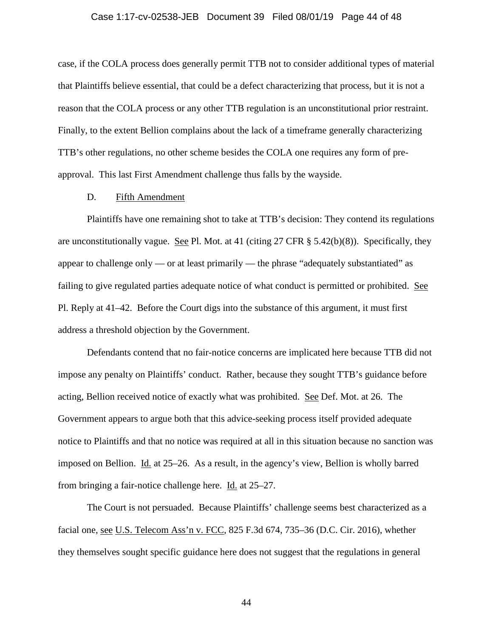#### Case 1:17-cv-02538-JEB Document 39 Filed 08/01/19 Page 44 of 48

case, if the COLA process does generally permit TTB not to consider additional types of material that Plaintiffs believe essential, that could be a defect characterizing that process, but it is not a reason that the COLA process or any other TTB regulation is an unconstitutional prior restraint. Finally, to the extent Bellion complains about the lack of a timeframe generally characterizing TTB's other regulations, no other scheme besides the COLA one requires any form of preapproval. This last First Amendment challenge thus falls by the wayside.

### D. Fifth Amendment

Plaintiffs have one remaining shot to take at TTB's decision: They contend its regulations are unconstitutionally vague. See Pl. Mot. at 41 (citing 27 CFR  $\S$  5.42(b)(8)). Specifically, they appear to challenge only — or at least primarily — the phrase "adequately substantiated" as failing to give regulated parties adequate notice of what conduct is permitted or prohibited. See Pl. Reply at 41–42. Before the Court digs into the substance of this argument, it must first address a threshold objection by the Government.

Defendants contend that no fair-notice concerns are implicated here because TTB did not impose any penalty on Plaintiffs' conduct. Rather, because they sought TTB's guidance before acting, Bellion received notice of exactly what was prohibited. See Def. Mot. at 26. The Government appears to argue both that this advice-seeking process itself provided adequate notice to Plaintiffs and that no notice was required at all in this situation because no sanction was imposed on Bellion. Id. at 25–26. As a result, in the agency's view, Bellion is wholly barred from bringing a fair-notice challenge here. Id. at 25–27.

The Court is not persuaded. Because Plaintiffs' challenge seems best characterized as a facial one, see U.S. Telecom Ass'n v. FCC, 825 F.3d 674, 735–36 (D.C. Cir. 2016), whether they themselves sought specific guidance here does not suggest that the regulations in general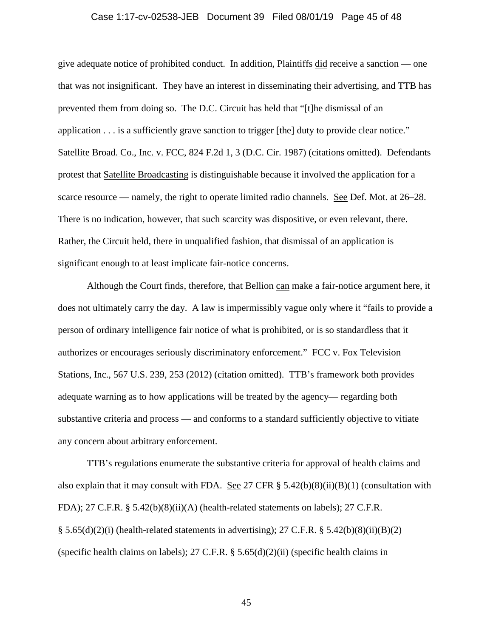# Case 1:17-cv-02538-JEB Document 39 Filed 08/01/19 Page 45 of 48

give adequate notice of prohibited conduct. In addition, Plaintiffs did receive a sanction — one that was not insignificant. They have an interest in disseminating their advertising, and TTB has prevented them from doing so. The D.C. Circuit has held that "[t]he dismissal of an application . . . is a sufficiently grave sanction to trigger [the] duty to provide clear notice." Satellite Broad. Co., Inc. v. FCC, 824 F.2d 1, 3 (D.C. Cir. 1987) (citations omitted). Defendants protest that Satellite Broadcasting is distinguishable because it involved the application for a scarce resource — namely, the right to operate limited radio channels. See Def. Mot. at 26–28. There is no indication, however, that such scarcity was dispositive, or even relevant, there. Rather, the Circuit held, there in unqualified fashion, that dismissal of an application is significant enough to at least implicate fair-notice concerns.

Although the Court finds, therefore, that Bellion can make a fair-notice argument here, it does not ultimately carry the day. A law is impermissibly vague only where it "fails to provide a person of ordinary intelligence fair notice of what is prohibited, or is so standardless that it authorizes or encourages seriously discriminatory enforcement." FCC v. Fox Television Stations, Inc., 567 U.S. 239, 253 (2012) (citation omitted). TTB's framework both provides adequate warning as to how applications will be treated by the agency— regarding both substantive criteria and process — and conforms to a standard sufficiently objective to vitiate any concern about arbitrary enforcement.

TTB's regulations enumerate the substantive criteria for approval of health claims and also explain that it may consult with FDA. See 27 CFR  $\S$  5.42(b)(8)(ii)(B)(1) (consultation with FDA); 27 C.F.R. § 5.42(b)(8)(ii)(A) (health-related statements on labels); 27 C.F.R. § 5.65(d)(2)(i) (health-related statements in advertising); 27 C.F.R. § 5.42(b)(8)(ii)(B)(2) (specific health claims on labels); 27 C.F.R. § 5.65(d)(2)(ii) (specific health claims in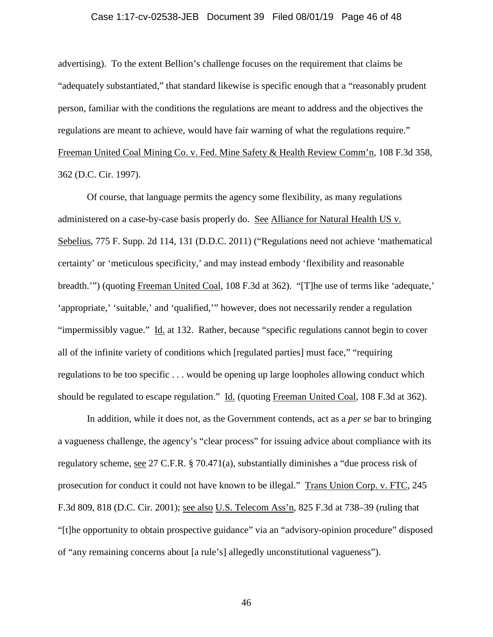### Case 1:17-cv-02538-JEB Document 39 Filed 08/01/19 Page 46 of 48

advertising). To the extent Bellion's challenge focuses on the requirement that claims be "adequately substantiated," that standard likewise is specific enough that a "reasonably prudent person, familiar with the conditions the regulations are meant to address and the objectives the regulations are meant to achieve, would have fair warning of what the regulations require." Freeman United Coal Mining Co. v. Fed. Mine Safety & Health Review Comm'n, 108 F.3d 358, 362 (D.C. Cir. 1997).

Of course, that language permits the agency some flexibility, as many regulations administered on a case-by-case basis properly do. See Alliance for Natural Health US v. Sebelius, 775 F. Supp. 2d 114, 131 (D.D.C. 2011) ("Regulations need not achieve 'mathematical certainty' or 'meticulous specificity,' and may instead embody 'flexibility and reasonable breadth.'") (quoting Freeman United Coal, 108 F.3d at 362). "[T]he use of terms like 'adequate,' 'appropriate,' 'suitable,' and 'qualified,'" however, does not necessarily render a regulation "impermissibly vague." Id. at 132. Rather, because "specific regulations cannot begin to cover all of the infinite variety of conditions which [regulated parties] must face," "requiring regulations to be too specific . . . would be opening up large loopholes allowing conduct which should be regulated to escape regulation." Id. (quoting Freeman United Coal, 108 F.3d at 362).

In addition, while it does not, as the Government contends, act as a *per se* bar to bringing a vagueness challenge, the agency's "clear process" for issuing advice about compliance with its regulatory scheme, see 27 C.F.R. § 70.471(a), substantially diminishes a "due process risk of prosecution for conduct it could not have known to be illegal." Trans Union Corp. v. FTC, 245 F.3d 809, 818 (D.C. Cir. 2001); see also U.S. Telecom Ass'n, 825 F.3d at 738–39 (ruling that "[t]he opportunity to obtain prospective guidance" via an "advisory-opinion procedure" disposed of "any remaining concerns about [a rule's] allegedly unconstitutional vagueness").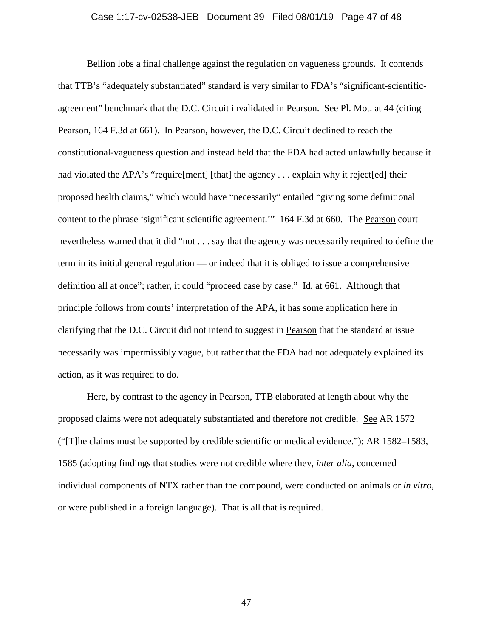# Case 1:17-cv-02538-JEB Document 39 Filed 08/01/19 Page 47 of 48

Bellion lobs a final challenge against the regulation on vagueness grounds. It contends that TTB's "adequately substantiated" standard is very similar to FDA's "significant-scientificagreement" benchmark that the D.C. Circuit invalidated in Pearson. See Pl. Mot. at 44 (citing Pearson, 164 F.3d at 661). In Pearson, however, the D.C. Circuit declined to reach the constitutional-vagueness question and instead held that the FDA had acted unlawfully because it had violated the APA's "require[ment] [that] the agency . . . explain why it reject[ed] their proposed health claims," which would have "necessarily" entailed "giving some definitional content to the phrase 'significant scientific agreement.'" 164 F.3d at 660. The Pearson court nevertheless warned that it did "not . . . say that the agency was necessarily required to define the term in its initial general regulation — or indeed that it is obliged to issue a comprehensive definition all at once"; rather, it could "proceed case by case." Id. at 661. Although that principle follows from courts' interpretation of the APA, it has some application here in clarifying that the D.C. Circuit did not intend to suggest in Pearson that the standard at issue necessarily was impermissibly vague, but rather that the FDA had not adequately explained its action, as it was required to do.

Here, by contrast to the agency in Pearson, TTB elaborated at length about why the proposed claims were not adequately substantiated and therefore not credible. See AR 1572 ("[T]he claims must be supported by credible scientific or medical evidence."); AR 1582–1583, 1585 (adopting findings that studies were not credible where they, *inter alia*, concerned individual components of NTX rather than the compound, were conducted on animals or *in vitro*, or were published in a foreign language). That is all that is required.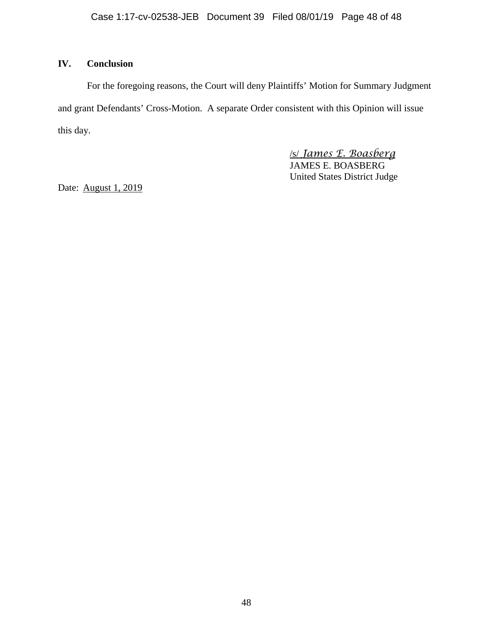# **IV. Conclusion**

For the foregoing reasons, the Court will deny Plaintiffs' Motion for Summary Judgment and grant Defendants' Cross-Motion. A separate Order consistent with this Opinion will issue this day.

> /s/ *James E. Boasberg* JAMES E. BOASBERG United States District Judge

Date: August 1, 2019